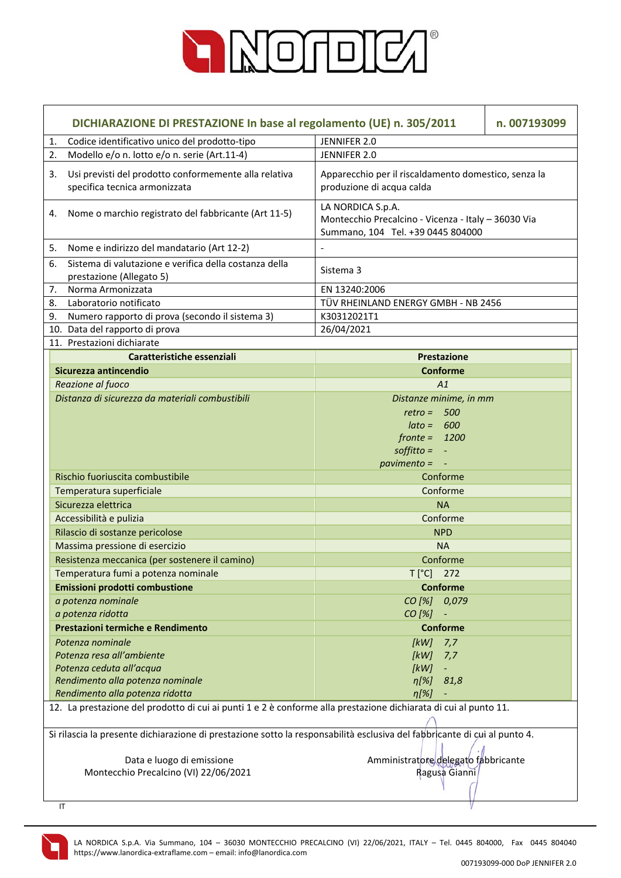

| DICHIARAZIONE DI PRESTAZIONE In base al regolamento (UE) n. 305/2011<br>n. 007193099                                      |                                                                                                               |  |
|---------------------------------------------------------------------------------------------------------------------------|---------------------------------------------------------------------------------------------------------------|--|
| Codice identificativo unico del prodotto-tipo<br>1.                                                                       | JENNIFER 2.0                                                                                                  |  |
| Modello e/o n. lotto e/o n. serie (Art.11-4)<br>2.                                                                        | JENNIFER 2.0                                                                                                  |  |
| Usi previsti del prodotto conformemente alla relativa<br>3.<br>specifica tecnica armonizzata                              | Apparecchio per il riscaldamento domestico, senza la<br>produzione di acqua calda                             |  |
| Nome o marchio registrato del fabbricante (Art 11-5)<br>4.                                                                | LA NORDICA S.p.A.<br>Montecchio Precalcino - Vicenza - Italy - 36030 Via<br>Summano, 104 Tel. +39 0445 804000 |  |
| Nome e indirizzo del mandatario (Art 12-2)<br>5.                                                                          | $\overline{\phantom{a}}$                                                                                      |  |
| Sistema di valutazione e verifica della costanza della<br>6.<br>prestazione (Allegato 5)                                  | Sistema 3                                                                                                     |  |
| Norma Armonizzata<br>7.                                                                                                   | EN 13240:2006                                                                                                 |  |
| Laboratorio notificato<br>8.                                                                                              | TÜV RHEINLAND ENERGY GMBH - NB 2456                                                                           |  |
| 9.<br>Numero rapporto di prova (secondo il sistema 3)                                                                     | K30312021T1                                                                                                   |  |
| 10. Data del rapporto di prova                                                                                            | 26/04/2021                                                                                                    |  |
| 11. Prestazioni dichiarate                                                                                                |                                                                                                               |  |
| Caratteristiche essenziali                                                                                                | Prestazione                                                                                                   |  |
| Sicurezza antincendio                                                                                                     | <b>Conforme</b>                                                                                               |  |
| Reazione al fuoco                                                                                                         | A1                                                                                                            |  |
| Distanza di sicurezza da materiali combustibili                                                                           | Distanze minime, in mm                                                                                        |  |
|                                                                                                                           | $retro = 500$                                                                                                 |  |
|                                                                                                                           | $\theta$ ato = 600                                                                                            |  |
|                                                                                                                           | $fronte = 1200$                                                                                               |  |
|                                                                                                                           | $\text{soft}$ = -                                                                                             |  |
|                                                                                                                           | $pavimento = -$                                                                                               |  |
| Rischio fuoriuscita combustibile                                                                                          | Conforme                                                                                                      |  |
| Temperatura superficiale                                                                                                  | Conforme                                                                                                      |  |
| Sicurezza elettrica                                                                                                       | <b>NA</b>                                                                                                     |  |
| Accessibilità e pulizia                                                                                                   | Conforme                                                                                                      |  |
| Rilascio di sostanze pericolose                                                                                           | <b>NPD</b>                                                                                                    |  |
| Massima pressione di esercizio                                                                                            | <b>NA</b>                                                                                                     |  |
| Resistenza meccanica (per sostenere il camino)                                                                            | Conforme                                                                                                      |  |
| Temperatura fumi a potenza nominale                                                                                       | $T[^{\circ}C]$ 272                                                                                            |  |
| Emissioni prodotti combustione                                                                                            | <b>Conforme</b>                                                                                               |  |
| a potenza nominale                                                                                                        | CO [%] 0,079                                                                                                  |  |
| a potenza ridotta                                                                                                         | $CO [%] -$                                                                                                    |  |
| Prestazioni termiche e Rendimento                                                                                         | <b>Conforme</b>                                                                                               |  |
| Potenza nominale                                                                                                          | [kW]<br>7,7                                                                                                   |  |
| Potenza resa all'ambiente                                                                                                 | [kW]<br>7,7                                                                                                   |  |
| Potenza ceduta all'acqua                                                                                                  | [kW]<br>۳                                                                                                     |  |
| Rendimento alla potenza nominale                                                                                          | $\eta[\%]$<br>81,8                                                                                            |  |
| Rendimento alla potenza ridotta                                                                                           | $\eta$ [%]                                                                                                    |  |
| 12. La prestazione del prodotto di cui ai punti 1 e 2 è conforme alla prestazione dichiarata di cui al punto 11.          |                                                                                                               |  |
| Si rilascia la presente dichiarazione di prestazione sotto la responsabilità esclusiva del fabbricante di cui al punto 4. |                                                                                                               |  |
| Data e luogo di emissione                                                                                                 | Amministratore delegato fabbricante                                                                           |  |
| Montecchio Precalcino (VI) 22/06/2021                                                                                     | Ragusa Gianni                                                                                                 |  |
|                                                                                                                           |                                                                                                               |  |
| IT                                                                                                                        |                                                                                                               |  |

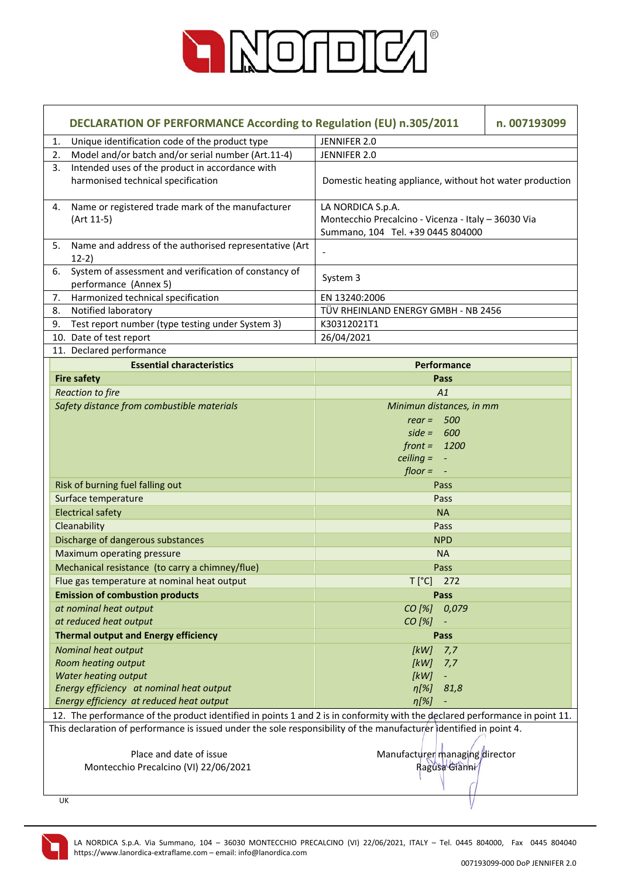

| DECLARATION OF PERFORMANCE According to Regulation (EU) n.305/2011                                                          |                                                          | n. 007193099 |
|-----------------------------------------------------------------------------------------------------------------------------|----------------------------------------------------------|--------------|
| Unique identification code of the product type<br>1.                                                                        | JENNIFER 2.0                                             |              |
| Model and/or batch and/or serial number (Art.11-4)<br>2.                                                                    | JENNIFER 2.0                                             |              |
| Intended uses of the product in accordance with<br>3.                                                                       |                                                          |              |
| harmonised technical specification                                                                                          | Domestic heating appliance, without hot water production |              |
| Name or registered trade mark of the manufacturer<br>4.                                                                     | LA NORDICA S.p.A.                                        |              |
| (Art 11-5)                                                                                                                  | Montecchio Precalcino - Vicenza - Italy - 36030 Via      |              |
|                                                                                                                             | Summano, 104 Tel. +39 0445 804000                        |              |
| Name and address of the authorised representative (Art<br>5.<br>$12-2)$                                                     |                                                          |              |
| System of assessment and verification of constancy of<br>6.<br>performance (Annex 5)                                        | System 3                                                 |              |
| Harmonized technical specification<br>7.                                                                                    | EN 13240:2006                                            |              |
| Notified laboratory<br>8.                                                                                                   | TÜV RHEINLAND ENERGY GMBH - NB 2456                      |              |
| Test report number (type testing under System 3)<br>9.                                                                      | K30312021T1                                              |              |
| 10. Date of test report                                                                                                     | 26/04/2021                                               |              |
| 11. Declared performance                                                                                                    |                                                          |              |
| <b>Essential characteristics</b>                                                                                            | <b>Performance</b>                                       |              |
| <b>Fire safety</b>                                                                                                          | Pass                                                     |              |
| <b>Reaction to fire</b>                                                                                                     | A1                                                       |              |
| Safety distance from combustible materials                                                                                  | Minimun distances, in mm                                 |              |
|                                                                                                                             | rear = $500$                                             |              |
|                                                                                                                             | $side = 600$                                             |              |
|                                                                                                                             | $front = 1200$                                           |              |
|                                                                                                                             | ceiling $= -$                                            |              |
|                                                                                                                             | $floor = -$                                              |              |
| Risk of burning fuel falling out                                                                                            | Pass                                                     |              |
| Surface temperature                                                                                                         | Pass                                                     |              |
| <b>Electrical safety</b>                                                                                                    | <b>NA</b>                                                |              |
| Cleanability                                                                                                                | Pass                                                     |              |
| Discharge of dangerous substances                                                                                           | <b>NPD</b>                                               |              |
| Maximum operating pressure                                                                                                  | <b>NA</b>                                                |              |
| Mechanical resistance (to carry a chimney/flue)                                                                             | Pass                                                     |              |
| Flue gas temperature at nominal heat output                                                                                 | $T[^{\circ}C]$ 272                                       |              |
| <b>Emission of combustion products</b>                                                                                      | Pass                                                     |              |
| at nominal heat output                                                                                                      | CO [%] 0,079                                             |              |
| at reduced heat output                                                                                                      | CO [%]                                                   |              |
| <b>Thermal output and Energy efficiency</b>                                                                                 | Pass                                                     |              |
| Nominal heat output                                                                                                         | [kW]<br>7,7                                              |              |
| Room heating output                                                                                                         | [kW]<br>7,7                                              |              |
| Water heating output                                                                                                        | [kW]<br>÷                                                |              |
| Energy efficiency at nominal heat output                                                                                    | $\eta$ [%]<br>81,8                                       |              |
| Energy efficiency at reduced heat output                                                                                    | $\eta$ [%]                                               |              |
| 12. The performance of the product identified in points 1 and 2 is in conformity with the declared performance in point 11. |                                                          |              |
| This declaration of performance is issued under the sole responsibility of the manufacturer dentified in point 4.           |                                                          |              |
|                                                                                                                             |                                                          |              |
| Place and date of issue                                                                                                     | Manufacturer managing director                           |              |
| Montecchio Precalcino (VI) 22/06/2021                                                                                       | Ragusa Gianni                                            |              |
|                                                                                                                             |                                                          |              |
| UK                                                                                                                          |                                                          |              |
|                                                                                                                             |                                                          |              |

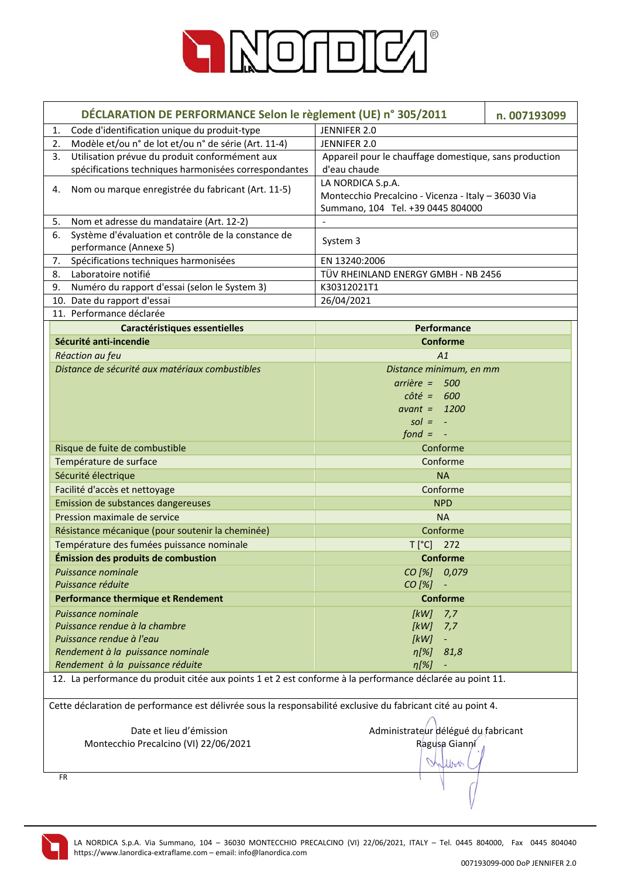

|                                                                                                              | DÉCLARATION DE PERFORMANCE Selon le règlement (UE) n° 305/2011<br>n. 007193099                                |  |
|--------------------------------------------------------------------------------------------------------------|---------------------------------------------------------------------------------------------------------------|--|
| Code d'identification unique du produit-type<br>1.                                                           | JENNIFER 2.0                                                                                                  |  |
| Modèle et/ou n° de lot et/ou n° de série (Art. 11-4)<br>2.                                                   | JENNIFER 2.0                                                                                                  |  |
| Utilisation prévue du produit conformément aux<br>3.                                                         | Appareil pour le chauffage domestique, sans production                                                        |  |
| spécifications techniques harmonisées correspondantes                                                        | d'eau chaude                                                                                                  |  |
| Nom ou marque enregistrée du fabricant (Art. 11-5)<br>4.                                                     | LA NORDICA S.p.A.<br>Montecchio Precalcino - Vicenza - Italy - 36030 Via<br>Summano, 104 Tel. +39 0445 804000 |  |
| Nom et adresse du mandataire (Art. 12-2)<br>5.                                                               |                                                                                                               |  |
| Système d'évaluation et contrôle de la constance de<br>6.                                                    |                                                                                                               |  |
| performance (Annexe 5)                                                                                       | System 3                                                                                                      |  |
| 7.<br>Spécifications techniques harmonisées                                                                  | EN 13240:2006                                                                                                 |  |
| Laboratoire notifié<br>8.                                                                                    | TÜV RHEINLAND ENERGY GMBH - NB 2456                                                                           |  |
| Numéro du rapport d'essai (selon le System 3)<br>9.                                                          | K30312021T1                                                                                                   |  |
| 10. Date du rapport d'essai                                                                                  | 26/04/2021                                                                                                    |  |
| 11. Performance déclarée                                                                                     |                                                                                                               |  |
| <b>Caractéristiques essentielles</b>                                                                         | Performance                                                                                                   |  |
| Sécurité anti-incendie                                                                                       | <b>Conforme</b>                                                                                               |  |
| Réaction au feu                                                                                              | A1                                                                                                            |  |
| Distance de sécurité aux matériaux combustibles                                                              | Distance minimum, en mm                                                                                       |  |
|                                                                                                              | $arrière = 500$                                                                                               |  |
|                                                                                                              | $c \hat{o} t \hat{e} = 600$                                                                                   |  |
|                                                                                                              | avant = $1200$                                                                                                |  |
|                                                                                                              | $sol = -$                                                                                                     |  |
|                                                                                                              | $f$ ond = $-$                                                                                                 |  |
| Risque de fuite de combustible                                                                               | Conforme                                                                                                      |  |
| Température de surface                                                                                       | Conforme                                                                                                      |  |
| Sécurité électrique                                                                                          | <b>NA</b>                                                                                                     |  |
| Facilité d'accès et nettoyage                                                                                | Conforme                                                                                                      |  |
| Emission de substances dangereuses                                                                           | <b>NPD</b>                                                                                                    |  |
| Pression maximale de service                                                                                 | <b>NA</b>                                                                                                     |  |
| Résistance mécanique (pour soutenir la cheminée)                                                             | Conforme                                                                                                      |  |
| Température des fumées puissance nominale                                                                    | $T[^{\circ}C]$ 272                                                                                            |  |
| Émission des produits de combustion                                                                          | <b>Conforme</b>                                                                                               |  |
| Puissance nominale                                                                                           | CO [%] 0,079                                                                                                  |  |
| Puissance réduite                                                                                            | CO [%]                                                                                                        |  |
| <b>Performance thermique et Rendement</b>                                                                    | <b>Conforme</b>                                                                                               |  |
| Puissance nominale                                                                                           |                                                                                                               |  |
| Puissance rendue à la chambre                                                                                | [kW]<br>7,7<br>[kW]                                                                                           |  |
| Puissance rendue à l'eau                                                                                     | 7,7<br>[ $kW$ ]                                                                                               |  |
| Rendement à la puissance nominale                                                                            | $\eta[\%]$<br>81,8                                                                                            |  |
| Rendement à la puissance réduite                                                                             | $\eta$ [%]                                                                                                    |  |
| 12. La performance du produit citée aux points 1 et 2 est conforme à la performance déclarée au point 11.    |                                                                                                               |  |
|                                                                                                              |                                                                                                               |  |
| Cette déclaration de performance est délivrée sous la responsabilité exclusive du fabricant cité au point 4. |                                                                                                               |  |
| Date et lieu d'émission                                                                                      | Administrateur délégué du fabricant                                                                           |  |
| Montecchio Precalcino (VI) 22/06/2021                                                                        | Ragusa Gianni                                                                                                 |  |
|                                                                                                              |                                                                                                               |  |
|                                                                                                              | White                                                                                                         |  |
| <b>FR</b>                                                                                                    |                                                                                                               |  |

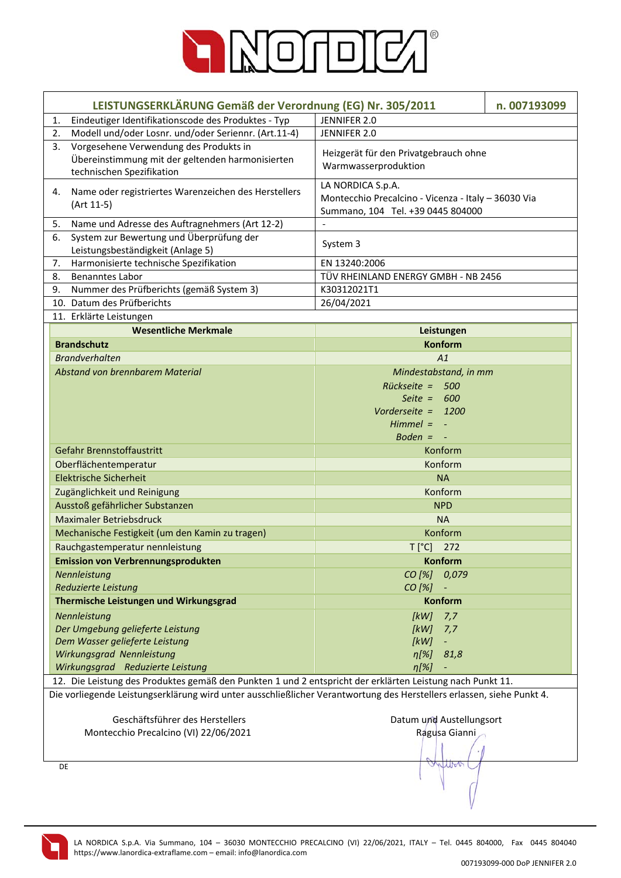

| LEISTUNGSERKLÄRUNG Gemäß der Verordnung (EG) Nr. 305/2011<br>n. 007193099                                             |                                                     |  |
|-----------------------------------------------------------------------------------------------------------------------|-----------------------------------------------------|--|
| Eindeutiger Identifikationscode des Produktes - Typ<br>1.                                                             | JENNIFER 2.0                                        |  |
| Modell und/oder Losnr. und/oder Seriennr. (Art.11-4)<br>2.                                                            | JENNIFER 2.0                                        |  |
| Vorgesehene Verwendung des Produkts in<br>3.                                                                          |                                                     |  |
| Übereinstimmung mit der geltenden harmonisierten                                                                      | Heizgerät für den Privatgebrauch ohne               |  |
| technischen Spezifikation                                                                                             | Warmwasserproduktion                                |  |
|                                                                                                                       | LA NORDICA S.p.A.                                   |  |
| Name oder registriertes Warenzeichen des Herstellers<br>4.                                                            | Montecchio Precalcino - Vicenza - Italy - 36030 Via |  |
| (Art 11-5)                                                                                                            | Summano, 104 Tel. +39 0445 804000                   |  |
| 5.<br>Name und Adresse des Auftragnehmers (Art 12-2)                                                                  |                                                     |  |
| System zur Bewertung und Überprüfung der<br>6.                                                                        |                                                     |  |
| Leistungsbeständigkeit (Anlage 5)                                                                                     | System 3                                            |  |
| Harmonisierte technische Spezifikation<br>7.                                                                          | EN 13240:2006                                       |  |
| <b>Benanntes Labor</b><br>8.                                                                                          | TÜV RHEINLAND ENERGY GMBH - NB 2456                 |  |
| Nummer des Prüfberichts (gemäß System 3)<br>9.                                                                        | K30312021T1                                         |  |
| 10. Datum des Prüfberichts                                                                                            | 26/04/2021                                          |  |
| 11. Erklärte Leistungen                                                                                               |                                                     |  |
| <b>Wesentliche Merkmale</b>                                                                                           | Leistungen                                          |  |
| <b>Brandschutz</b>                                                                                                    | <b>Konform</b>                                      |  |
| <b>Brandverhalten</b>                                                                                                 | A1                                                  |  |
| Abstand von brennbarem Material                                                                                       | Mindestabstand, in mm                               |  |
|                                                                                                                       | $Rückseite = 500$                                   |  |
|                                                                                                                       | Seite = $600$                                       |  |
|                                                                                                                       | Vorderseite = 1200                                  |  |
|                                                                                                                       | $Himmel = -$                                        |  |
|                                                                                                                       | Boden $= -$                                         |  |
| Gefahr Brennstoffaustritt                                                                                             | Konform                                             |  |
|                                                                                                                       |                                                     |  |
| Oberflächentemperatur                                                                                                 | Konform                                             |  |
| <b>Elektrische Sicherheit</b>                                                                                         | <b>NA</b>                                           |  |
| Zugänglichkeit und Reinigung                                                                                          | Konform                                             |  |
| Ausstoß gefährlicher Substanzen                                                                                       | <b>NPD</b>                                          |  |
| <b>Maximaler Betriebsdruck</b>                                                                                        | <b>NA</b>                                           |  |
| Mechanische Festigkeit (um den Kamin zu tragen)                                                                       | Konform                                             |  |
| Rauchgastemperatur nennleistung                                                                                       | T [°C] 272                                          |  |
| <b>Emission von Verbrennungsprodukten</b>                                                                             | Konform                                             |  |
| Nennleistung                                                                                                          | CO [%] 0,079                                        |  |
| Reduzierte Leistung                                                                                                   | $CO [%] -$                                          |  |
| Thermische Leistungen und Wirkungsgrad                                                                                | <b>Konform</b>                                      |  |
| Nennleistung                                                                                                          | $[kW]$ 7,7                                          |  |
| Der Umgebung gelieferte Leistung                                                                                      | [kW]<br>7,7                                         |  |
| Dem Wasser gelieferte Leistung                                                                                        | [kW]<br>۳                                           |  |
| Wirkungsgrad Nennleistung                                                                                             | $\eta[\%]$<br>81,8                                  |  |
| Wirkungsgrad Reduzierte Leistung                                                                                      | $\eta$ [%]                                          |  |
| 12. Die Leistung des Produktes gemäß den Punkten 1 und 2 entspricht der erklärten Leistung nach Punkt 11.             |                                                     |  |
| Die vorliegende Leistungserklärung wird unter ausschließlicher Verantwortung des Herstellers erlassen, siehe Punkt 4. |                                                     |  |
|                                                                                                                       |                                                     |  |
| Geschäftsführer des Herstellers                                                                                       | Datum und Austellungsort                            |  |
| Montecchio Precalcino (VI) 22/06/2021                                                                                 | Ragusa Gianni                                       |  |
|                                                                                                                       |                                                     |  |
| DE                                                                                                                    | JUN                                                 |  |
|                                                                                                                       |                                                     |  |
|                                                                                                                       |                                                     |  |
|                                                                                                                       |                                                     |  |

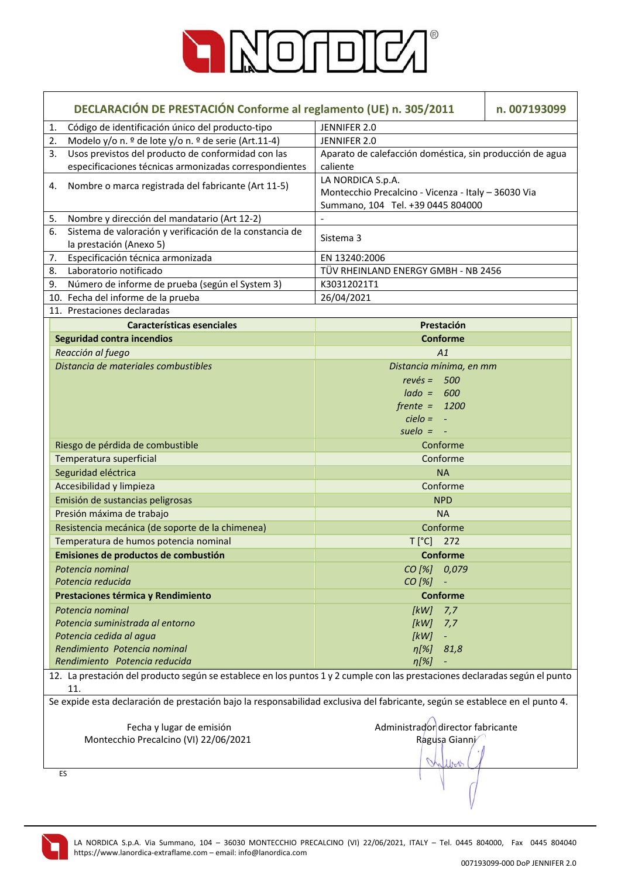

| DECLARACIÓN DE PRESTACIÓN Conforme al reglamento (UE) n. 305/2011 |                                                                                                                                    | n. 007193099                                             |  |
|-------------------------------------------------------------------|------------------------------------------------------------------------------------------------------------------------------------|----------------------------------------------------------|--|
| 1.                                                                | Código de identificación único del producto-tipo                                                                                   | JENNIFER 2.0                                             |  |
| 2.                                                                | Modelo y/o n. º de lote y/o n. º de serie (Art.11-4)                                                                               | JENNIFER 2.0                                             |  |
| 3.                                                                | Usos previstos del producto de conformidad con las                                                                                 | Aparato de calefacción doméstica, sin producción de agua |  |
|                                                                   | especificaciones técnicas armonizadas correspondientes                                                                             | caliente                                                 |  |
| 4.                                                                | Nombre o marca registrada del fabricante (Art 11-5)                                                                                | LA NORDICA S.p.A.                                        |  |
|                                                                   |                                                                                                                                    | Montecchio Precalcino - Vicenza - Italy - 36030 Via      |  |
|                                                                   |                                                                                                                                    | Summano, 104 Tel. +39 0445 804000                        |  |
| 5.                                                                | Nombre y dirección del mandatario (Art 12-2)                                                                                       |                                                          |  |
| 6.                                                                | Sistema de valoración y verificación de la constancia de                                                                           | Sistema 3                                                |  |
|                                                                   | la prestación (Anexo 5)                                                                                                            |                                                          |  |
| 7.                                                                | Especificación técnica armonizada                                                                                                  | EN 13240:2006                                            |  |
| 8.                                                                | Laboratorio notificado                                                                                                             | TÜV RHEINLAND ENERGY GMBH - NB 2456                      |  |
| 9.                                                                | Número de informe de prueba (según el System 3)                                                                                    | K30312021T1                                              |  |
|                                                                   | 10. Fecha del informe de la prueba                                                                                                 | 26/04/2021                                               |  |
|                                                                   | 11. Prestaciones declaradas                                                                                                        |                                                          |  |
|                                                                   | Características esenciales                                                                                                         | Prestación                                               |  |
|                                                                   | <b>Seguridad contra incendios</b>                                                                                                  | <b>Conforme</b>                                          |  |
|                                                                   | Reacción al fuego                                                                                                                  | A1                                                       |  |
|                                                                   | Distancia de materiales combustibles                                                                                               | Distancia mínima, en mm                                  |  |
|                                                                   |                                                                                                                                    | $rev\acute{e}s = 500$                                    |  |
|                                                                   |                                                                                                                                    | $lado =$<br>600                                          |  |
|                                                                   |                                                                                                                                    | $f$ rente = 1200                                         |  |
|                                                                   |                                                                                                                                    | $cielo = -$                                              |  |
|                                                                   |                                                                                                                                    | suelo $= -$                                              |  |
|                                                                   | Riesgo de pérdida de combustible                                                                                                   | Conforme                                                 |  |
|                                                                   | Temperatura superficial                                                                                                            | Conforme                                                 |  |
|                                                                   | Seguridad eléctrica                                                                                                                | <b>NA</b>                                                |  |
|                                                                   | Accesibilidad y limpieza                                                                                                           | Conforme                                                 |  |
|                                                                   | Emisión de sustancias peligrosas                                                                                                   | <b>NPD</b>                                               |  |
|                                                                   | Presión máxima de trabajo                                                                                                          | <b>NA</b>                                                |  |
|                                                                   | Resistencia mecánica (de soporte de la chimenea)                                                                                   | Conforme                                                 |  |
|                                                                   | Temperatura de humos potencia nominal                                                                                              | $T[^{\circ}C]$<br>272                                    |  |
|                                                                   | Emisiones de productos de combustión                                                                                               | <b>Conforme</b>                                          |  |
|                                                                   | Potencia nominal                                                                                                                   | CO [%]<br>0,079                                          |  |
|                                                                   | Potencia reducida                                                                                                                  | CO [%]                                                   |  |
|                                                                   | Prestaciones térmica y Rendimiento                                                                                                 | <b>Conforme</b>                                          |  |
|                                                                   | Potencia nominal                                                                                                                   | [kW]<br>7,7                                              |  |
|                                                                   | Potencia suministrada al entorno                                                                                                   | [kW]<br>7,7                                              |  |
|                                                                   | Potencia cedida al agua                                                                                                            | [kW]                                                     |  |
|                                                                   | Rendimiento Potencia nominal                                                                                                       | $\eta[\%]$<br>81,8                                       |  |
|                                                                   | Rendimiento Potencia reducida                                                                                                      | $n[\%]$                                                  |  |
|                                                                   | 12. La prestación del producto según se establece en los puntos 1 y 2 cumple con las prestaciones declaradas según el punto<br>11. |                                                          |  |
|                                                                   | Se expide esta declaración de prestación bajo la responsabilidad exclusiva del fabricante, según se establece en el punto 4.       |                                                          |  |
|                                                                   | Fecha y lugar de emisión                                                                                                           | Administrador director fabricante                        |  |
|                                                                   | Montecchio Precalcino (VI) 22/06/2021                                                                                              | Ragusa Gianni                                            |  |
|                                                                   |                                                                                                                                    |                                                          |  |
|                                                                   |                                                                                                                                    |                                                          |  |
|                                                                   | ES                                                                                                                                 |                                                          |  |

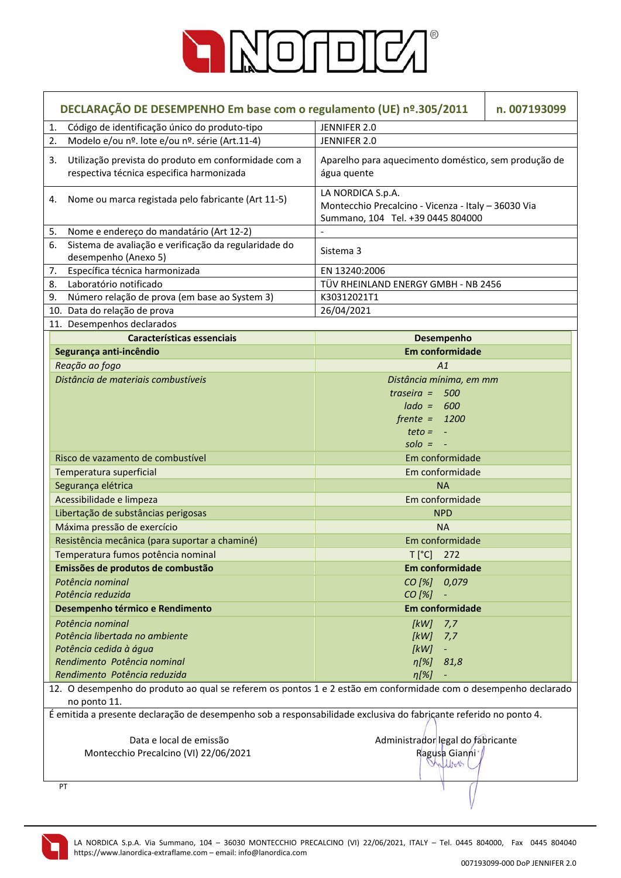

| DECLARAÇÃO DE DESEMPENHO Em base com o regulamento (UE) nº.305/2011<br>n. 007193099                                             |                                                                                                               |  |
|---------------------------------------------------------------------------------------------------------------------------------|---------------------------------------------------------------------------------------------------------------|--|
| Código de identificação único do produto-tipo<br>1.                                                                             | JENNIFER 2.0                                                                                                  |  |
| Modelo e/ou nº. lote e/ou nº. série (Art.11-4)<br>2.                                                                            | JENNIFER 2.0                                                                                                  |  |
| Utilização prevista do produto em conformidade com a<br>3.<br>respectiva técnica especifica harmonizada                         | Aparelho para aquecimento doméstico, sem produção de<br>água quente                                           |  |
| Nome ou marca registada pelo fabricante (Art 11-5)<br>4.                                                                        | LA NORDICA S.p.A.<br>Montecchio Precalcino - Vicenza - Italy - 36030 Via<br>Summano, 104 Tel. +39 0445 804000 |  |
| Nome e endereço do mandatário (Art 12-2)<br>5.                                                                                  | $\blacksquare$                                                                                                |  |
| Sistema de avaliação e verificação da regularidade do<br>6.<br>desempenho (Anexo 5)                                             | Sistema 3                                                                                                     |  |
| Específica técnica harmonizada<br>7.                                                                                            | EN 13240:2006                                                                                                 |  |
| Laboratório notificado<br>8.                                                                                                    | TÜV RHEINLAND ENERGY GMBH - NB 2456                                                                           |  |
| Número relação de prova (em base ao System 3)<br>9.                                                                             | K30312021T1                                                                                                   |  |
| 10. Data do relação de prova                                                                                                    | 26/04/2021                                                                                                    |  |
| 11. Desempenhos declarados                                                                                                      |                                                                                                               |  |
| Características essenciais                                                                                                      | <b>Desempenho</b>                                                                                             |  |
| Segurança anti-incêndio                                                                                                         | <b>Em conformidade</b>                                                                                        |  |
| Reação ao fogo                                                                                                                  | A1                                                                                                            |  |
| Distância de materiais combustíveis                                                                                             | Distância mínima, em mm                                                                                       |  |
|                                                                                                                                 | traseira = $500$                                                                                              |  |
|                                                                                                                                 | $lado = 600$                                                                                                  |  |
|                                                                                                                                 | $f$ rente = 1200                                                                                              |  |
|                                                                                                                                 | $teto = -$                                                                                                    |  |
|                                                                                                                                 | $\mathsf{solo} = -$                                                                                           |  |
| Risco de vazamento de combustível                                                                                               | Em conformidade                                                                                               |  |
| Temperatura superficial                                                                                                         | Em conformidade                                                                                               |  |
| Segurança elétrica                                                                                                              | <b>NA</b>                                                                                                     |  |
| Acessibilidade e limpeza                                                                                                        | Em conformidade                                                                                               |  |
| Libertação de substâncias perigosas                                                                                             | <b>NPD</b>                                                                                                    |  |
| Máxima pressão de exercício                                                                                                     | <b>NA</b>                                                                                                     |  |
| Resistência mecânica (para suportar a chaminé)                                                                                  | Em conformidade                                                                                               |  |
| Temperatura fumos potência nominal                                                                                              | $T[^{\circ}C]$<br>272                                                                                         |  |
| Emissões de produtos de combustão                                                                                               | <b>Em conformidade</b>                                                                                        |  |
| Potência nominal                                                                                                                | CO [%] 0,079                                                                                                  |  |
| Potência reduzida                                                                                                               | $CO [%] -$                                                                                                    |  |
| Desempenho térmico e Rendimento                                                                                                 | <b>Em conformidade</b>                                                                                        |  |
| Potência nominal                                                                                                                | $[kW]$ 7,7                                                                                                    |  |
| Potência libertada no ambiente                                                                                                  | [kW]<br>7,7                                                                                                   |  |
| Potência cedida à água                                                                                                          | [kW]<br>$\overline{\phantom{0}}$                                                                              |  |
| Rendimento Potência nominal                                                                                                     | $\eta$ [%] 81,8                                                                                               |  |
| Rendimento Potência reduzida                                                                                                    | $\eta$ [%]                                                                                                    |  |
| 12. O desempenho do produto ao qual se referem os pontos 1 e 2 estão em conformidade com o desempenho declarado<br>no ponto 11. |                                                                                                               |  |
| É emitida a presente declaração de desempenho sob a responsabilidade exclusiva do fabricante referido no ponto 4.               |                                                                                                               |  |
| Data e local de emissão                                                                                                         | Administrador legal do fabricante                                                                             |  |
| Montecchio Precalcino (VI) 22/06/2021                                                                                           | Ragusa Gianni /                                                                                               |  |
|                                                                                                                                 | Infloor                                                                                                       |  |
| PT                                                                                                                              |                                                                                                               |  |

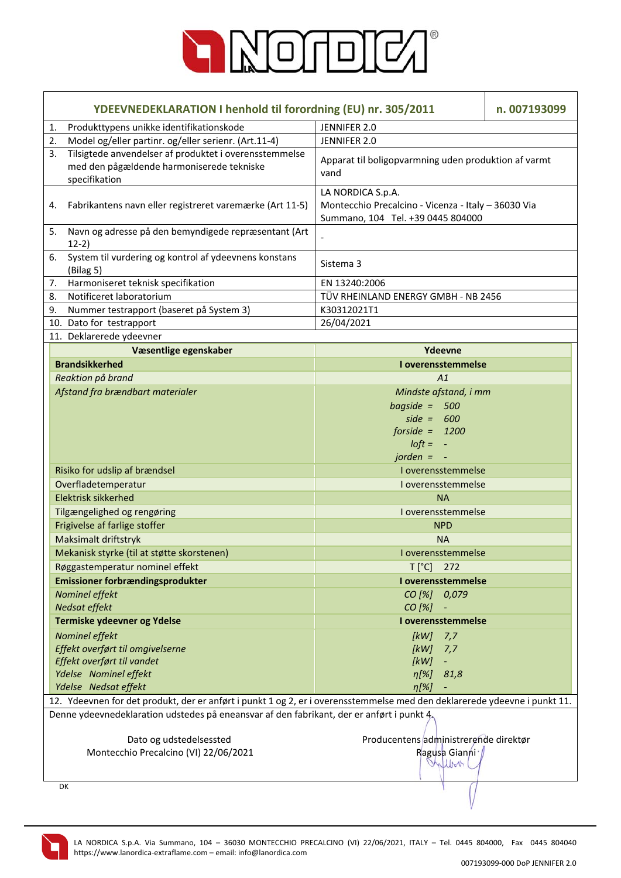

| YDEEVNEDEKLARATION I henhold til forordning (EU) nr. 305/2011                                                              |                                                                                                               | n. 007193099 |
|----------------------------------------------------------------------------------------------------------------------------|---------------------------------------------------------------------------------------------------------------|--------------|
| Produkttypens unikke identifikationskode<br>1.                                                                             | JENNIFER 2.0                                                                                                  |              |
| Model og/eller partinr. og/eller serienr. (Art.11-4)<br>2.                                                                 | JENNIFER 2.0                                                                                                  |              |
| Tilsigtede anvendelser af produktet i overensstemmelse<br>3.<br>med den pågældende harmoniserede tekniske<br>specifikation | Apparat til boligopvarmning uden produktion af varmt<br>vand                                                  |              |
| Fabrikantens navn eller registreret varemærke (Art 11-5)<br>4.                                                             | LA NORDICA S.p.A.<br>Montecchio Precalcino - Vicenza - Italy - 36030 Via<br>Summano, 104 Tel. +39 0445 804000 |              |
| Navn og adresse på den bemyndigede repræsentant (Art<br>5.<br>$12-2)$                                                      |                                                                                                               |              |
| System til vurdering og kontrol af ydeevnens konstans<br>6.<br>(Bilag <sub>5</sub> )                                       | Sistema 3                                                                                                     |              |
| Harmoniseret teknisk specifikation<br>7.                                                                                   | EN 13240:2006                                                                                                 |              |
| Notificeret laboratorium<br>8.                                                                                             | TÜV RHEINLAND ENERGY GMBH - NB 2456                                                                           |              |
| Nummer testrapport (baseret på System 3)<br>9.                                                                             | K30312021T1                                                                                                   |              |
| 10. Dato for testrapport                                                                                                   | 26/04/2021                                                                                                    |              |
| 11. Deklarerede ydeevner                                                                                                   |                                                                                                               |              |
| Væsentlige egenskaber                                                                                                      | Ydeevne                                                                                                       |              |
| <b>Brandsikkerhed</b>                                                                                                      | I overensstemmelse                                                                                            |              |
| Reaktion på brand                                                                                                          | A1                                                                                                            |              |
| Afstand fra brændbart materialer                                                                                           | Mindste afstand, i mm<br>bagside = $500$<br>side = $600$<br>forside = $1200$<br>$I$ oft = $-$<br>$jorden = -$ |              |
| Risiko for udslip af brændsel                                                                                              | I overensstemmelse                                                                                            |              |
| Overfladetemperatur                                                                                                        | I overensstemmelse                                                                                            |              |
| <b>Elektrisk sikkerhed</b>                                                                                                 | <b>NA</b>                                                                                                     |              |
| Tilgængelighed og rengøring                                                                                                | I overensstemmelse                                                                                            |              |
| Frigivelse af farlige stoffer                                                                                              | <b>NPD</b>                                                                                                    |              |
| Maksimalt driftstryk                                                                                                       | <b>NA</b>                                                                                                     |              |
|                                                                                                                            |                                                                                                               |              |
| Mekanisk styrke (til at støtte skorstenen)                                                                                 | I overensstemmelse                                                                                            |              |
| Røggastemperatur nominel effekt<br>Emissioner forbrændingsprodukter                                                        | $T[^{\circ}C]$ 272<br>I overensstemmelse                                                                      |              |
| Nominel effekt<br>Nedsat effekt                                                                                            | CO [%] 0,079<br>$CO [%] -$                                                                                    |              |
| Termiske ydeevner og Ydelse                                                                                                | I overensstemmelse                                                                                            |              |
| Nominel effekt                                                                                                             | [kW]<br>7,7                                                                                                   |              |
| Effekt overført til omgivelserne                                                                                           | [kW]<br>7,7                                                                                                   |              |
| Effekt overført til vandet                                                                                                 | [kW]                                                                                                          |              |
| Ydelse Nominel effekt                                                                                                      | $n[\%]$<br>81,8                                                                                               |              |
| Ydelse Nedsat effekt                                                                                                       | $\eta$ [%]                                                                                                    |              |
| 12. Ydeevnen for det produkt, der er anført i punkt 1 og 2, er i overensstemmelse med den deklarerede ydeevne i punkt 11.  |                                                                                                               |              |
| Denne ydeevnedeklaration udstedes på eneansvar af den fabrikant, der er anført i punkt 4.                                  |                                                                                                               |              |
| Dato og udstedelsessted                                                                                                    | Producentens administrerende direktør                                                                         |              |
| Montecchio Precalcino (VI) 22/06/2021                                                                                      | Ragusa Gianni /<br>Inflow                                                                                     |              |
| DK                                                                                                                         |                                                                                                               |              |

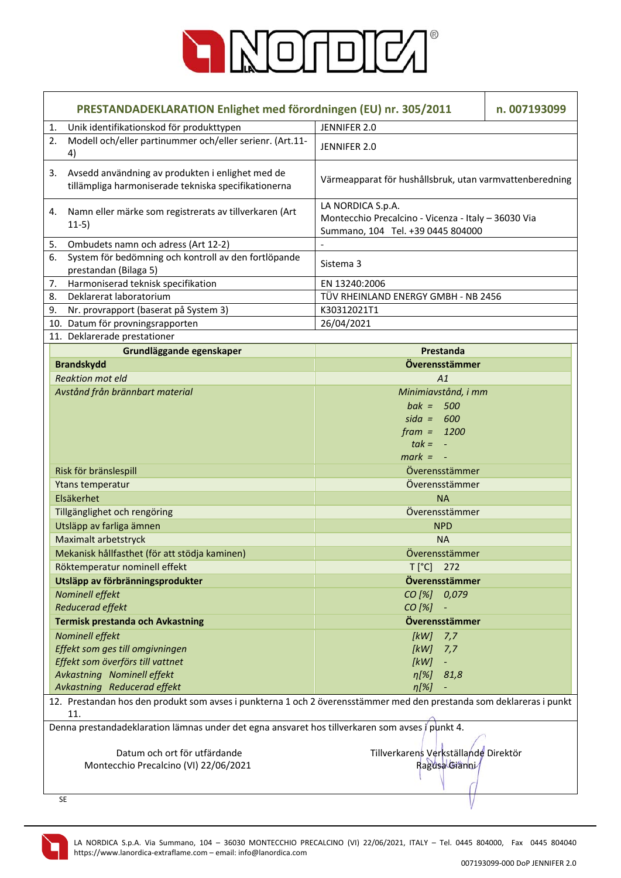

|    | PRESTANDADEKLARATION Enlighet med förordningen (EU) nr. 305/2011                                                            |                                                                                                               | n. 007193099 |
|----|-----------------------------------------------------------------------------------------------------------------------------|---------------------------------------------------------------------------------------------------------------|--------------|
| 1. | Unik identifikationskod för produkttypen                                                                                    | JENNIFER 2.0                                                                                                  |              |
| 2. | Modell och/eller partinummer och/eller serienr. (Art.11-<br>4)                                                              | JENNIFER 2.0                                                                                                  |              |
| 3. | Avsedd användning av produkten i enlighet med de<br>tillämpliga harmoniserade tekniska specifikationerna                    | Värmeapparat för hushållsbruk, utan varmvattenberedning                                                       |              |
| 4. | Namn eller märke som registrerats av tillverkaren (Art<br>$11-5)$                                                           | LA NORDICA S.p.A.<br>Montecchio Precalcino - Vicenza - Italy - 36030 Via<br>Summano, 104 Tel. +39 0445 804000 |              |
| 5. | Ombudets namn och adress (Art 12-2)                                                                                         |                                                                                                               |              |
| 6. | System för bedömning och kontroll av den fortlöpande<br>prestandan (Bilaga 5)                                               | Sistema 3                                                                                                     |              |
| 7. | Harmoniserad teknisk specifikation                                                                                          | EN 13240:2006                                                                                                 |              |
| 8. | Deklarerat laboratorium                                                                                                     | TÜV RHEINLAND ENERGY GMBH - NB 2456                                                                           |              |
| 9. | Nr. provrapport (baserat på System 3)                                                                                       | K30312021T1                                                                                                   |              |
|    | 10. Datum för provningsrapporten                                                                                            | 26/04/2021                                                                                                    |              |
|    | 11. Deklarerade prestationer                                                                                                |                                                                                                               |              |
|    | Grundläggande egenskaper                                                                                                    | Prestanda                                                                                                     |              |
|    | <b>Brandskydd</b>                                                                                                           | Överensstämmer                                                                                                |              |
|    | <b>Reaktion mot eld</b>                                                                                                     | A1                                                                                                            |              |
|    | Avstånd från brännbart material                                                                                             | Minimiavstånd, i mm                                                                                           |              |
|    |                                                                                                                             | $bak = 500$                                                                                                   |              |
|    |                                                                                                                             | $sida = 600$                                                                                                  |              |
|    |                                                                                                                             | $frame = 1200$                                                                                                |              |
|    |                                                                                                                             | $tak = -$                                                                                                     |              |
|    |                                                                                                                             | $mark = -$                                                                                                    |              |
|    | Risk för bränslespill                                                                                                       | Överensstämmer                                                                                                |              |
|    | Ytans temperatur                                                                                                            | Överensstämmer                                                                                                |              |
|    | Elsäkerhet                                                                                                                  | <b>NA</b>                                                                                                     |              |
|    | Tillgänglighet och rengöring                                                                                                | Överensstämmer                                                                                                |              |
|    | Utsläpp av farliga ämnen                                                                                                    | <b>NPD</b>                                                                                                    |              |
|    | Maximalt arbetstryck                                                                                                        | <b>NA</b>                                                                                                     |              |
|    | Mekanisk hållfasthet (för att stödja kaminen)                                                                               | Överensstämmer                                                                                                |              |
|    | Röktemperatur nominell effekt                                                                                               | $T[^{\circ}C]$ 272                                                                                            |              |
|    | Utsläpp av förbränningsprodukter                                                                                            | Överensstämmer                                                                                                |              |
|    | Nominell effekt                                                                                                             | CO [%] 0,079                                                                                                  |              |
|    | Reducerad effekt                                                                                                            | $CO [%]$ -<br>Överensstämmer                                                                                  |              |
|    | Termisk prestanda och Avkastning                                                                                            |                                                                                                               |              |
|    | Nominell effekt                                                                                                             | [kW]<br>7,7                                                                                                   |              |
|    | Effekt som ges till omgivningen<br>Effekt som överförs till vattnet                                                         | [kW]<br>7,7<br>[kW]                                                                                           |              |
|    | Avkastning Nominell effekt                                                                                                  |                                                                                                               |              |
|    | Avkastning Reducerad effekt                                                                                                 | $\eta$ [%] 81,8<br>$\eta$ [%]                                                                                 |              |
|    | 12. Prestandan hos den produkt som avses i punkterna 1 och 2 överensstämmer med den prestanda som deklareras i punkt<br>11. |                                                                                                               |              |
|    | Denna prestandadeklaration lämnas under det egna ansvaret hos tillverkaren som avses i punkt 4.                             |                                                                                                               |              |
|    | Datum och ort för utfärdande<br>Montecchio Precalcino (VI) 22/06/2021                                                       | Tillverkarens Verkställande Direktör<br>Ragusa Gianni                                                         |              |
|    | <b>SE</b>                                                                                                                   |                                                                                                               |              |

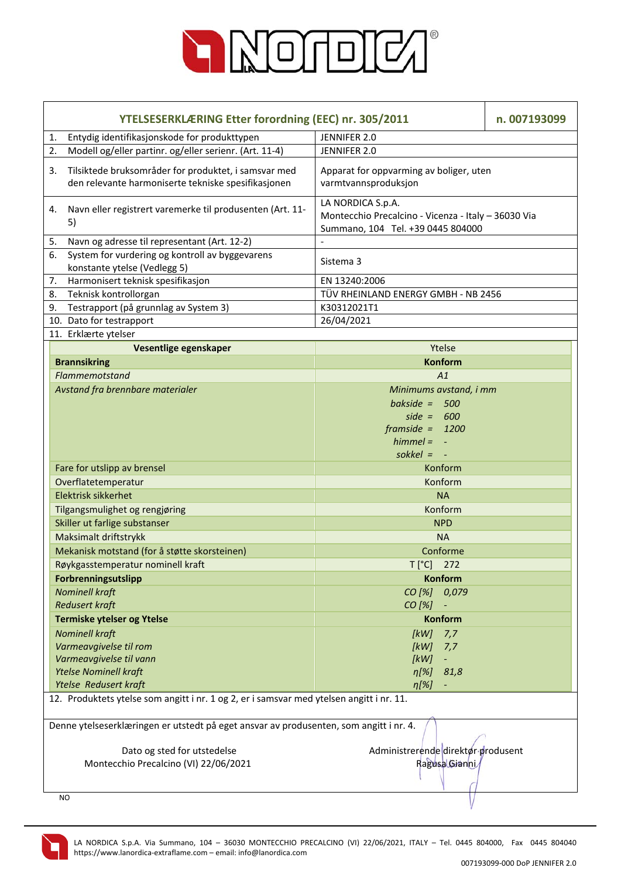

|    | YTELSESERKLÆRING Etter forordning (EEC) nr. 305/2011                                                        |                                                                                                               | n. 007193099 |
|----|-------------------------------------------------------------------------------------------------------------|---------------------------------------------------------------------------------------------------------------|--------------|
| 1. | Entydig identifikasjonskode for produkttypen                                                                | JENNIFER 2.0                                                                                                  |              |
| 2. | Modell og/eller partinr. og/eller serienr. (Art. 11-4)                                                      | JENNIFER 2.0                                                                                                  |              |
| 3. | Tilsiktede bruksområder for produktet, i samsvar med<br>den relevante harmoniserte tekniske spesifikasjonen | Apparat for oppvarming av boliger, uten<br>varmtvannsproduksjon                                               |              |
| 4. | Navn eller registrert varemerke til produsenten (Art. 11-<br>5)                                             | LA NORDICA S.p.A.<br>Montecchio Precalcino - Vicenza - Italy - 36030 Via<br>Summano, 104 Tel. +39 0445 804000 |              |
| 5. | Navn og adresse til representant (Art. 12-2)                                                                |                                                                                                               |              |
| 6. | System for vurdering og kontroll av byggevarens<br>konstante ytelse (Vedlegg 5)                             | Sistema 3                                                                                                     |              |
| 7. | Harmonisert teknisk spesifikasjon                                                                           | EN 13240:2006                                                                                                 |              |
| 8. | Teknisk kontrollorgan                                                                                       | TÜV RHEINLAND ENERGY GMBH - NB 2456                                                                           |              |
| 9. | Testrapport (på grunnlag av System 3)                                                                       | K30312021T1                                                                                                   |              |
|    | 10. Dato for testrapport                                                                                    | 26/04/2021                                                                                                    |              |
|    | 11. Erklærte ytelser                                                                                        |                                                                                                               |              |
|    | Vesentlige egenskaper                                                                                       | Ytelse                                                                                                        |              |
|    | <b>Brannsikring</b>                                                                                         | <b>Konform</b>                                                                                                |              |
|    | Flammemotstand                                                                                              | A1                                                                                                            |              |
|    | Avstand fra brennbare materialer                                                                            | Minimums avstand, i mm                                                                                        |              |
|    |                                                                                                             | bakside = $500$                                                                                               |              |
|    |                                                                                                             | side = $600$                                                                                                  |              |
|    |                                                                                                             | $framside = 1200$                                                                                             |              |
|    |                                                                                                             | $himmel = -$                                                                                                  |              |
|    |                                                                                                             | sokkel = $-$                                                                                                  |              |
|    | Fare for utslipp av brensel                                                                                 | Konform                                                                                                       |              |
|    | Overflatetemperatur                                                                                         | Konform                                                                                                       |              |
|    | Elektrisk sikkerhet                                                                                         | <b>NA</b>                                                                                                     |              |
|    | Tilgangsmulighet og rengjøring                                                                              | Konform                                                                                                       |              |
|    | Skiller ut farlige substanser                                                                               | <b>NPD</b>                                                                                                    |              |
|    | Maksimalt driftstrykk                                                                                       | <b>NA</b>                                                                                                     |              |
|    | Mekanisk motstand (for å støtte skorsteinen)                                                                | Conforme                                                                                                      |              |
|    | Røykgasstemperatur nominell kraft                                                                           | $T[^{\circ}C]$ 272                                                                                            |              |
|    | Forbrenningsutslipp                                                                                         | <b>Konform</b>                                                                                                |              |
|    | <b>Nominell kraft</b>                                                                                       | CO [%] 0,079                                                                                                  |              |
|    | <b>Redusert kraft</b>                                                                                       | CO [%]                                                                                                        |              |
|    | Termiske ytelser og Ytelse                                                                                  | Konform                                                                                                       |              |
|    | <b>Nominell kraft</b>                                                                                       | [kW]<br>7,7                                                                                                   |              |
|    | Varmeavgivelse til rom                                                                                      | [kW]<br>7,7                                                                                                   |              |
|    | Varmeavgivelse til vann                                                                                     | [kW]<br>$\blacksquare$                                                                                        |              |
|    | <b>Ytelse Nominell kraft</b>                                                                                | $\eta[\%]$<br>81,8                                                                                            |              |
|    | Ytelse Redusert kraft                                                                                       | $\eta[\%]$                                                                                                    |              |
|    | 12. Produktets ytelse som angitt i nr. 1 og 2, er i samsvar med ytelsen angitt i nr. 11.                    |                                                                                                               |              |
|    | Denne ytelseserklæringen er utstedt på eget ansvar av produsenten, som angitt i nr. 4.                      |                                                                                                               |              |
|    | Dato og sted for utstedelse                                                                                 | Administrerende direktør produsent                                                                            |              |
|    | Montecchio Precalcino (VI) 22/06/2021                                                                       | Ragusa Gianni                                                                                                 |              |
|    |                                                                                                             |                                                                                                               |              |
|    | NO.                                                                                                         |                                                                                                               |              |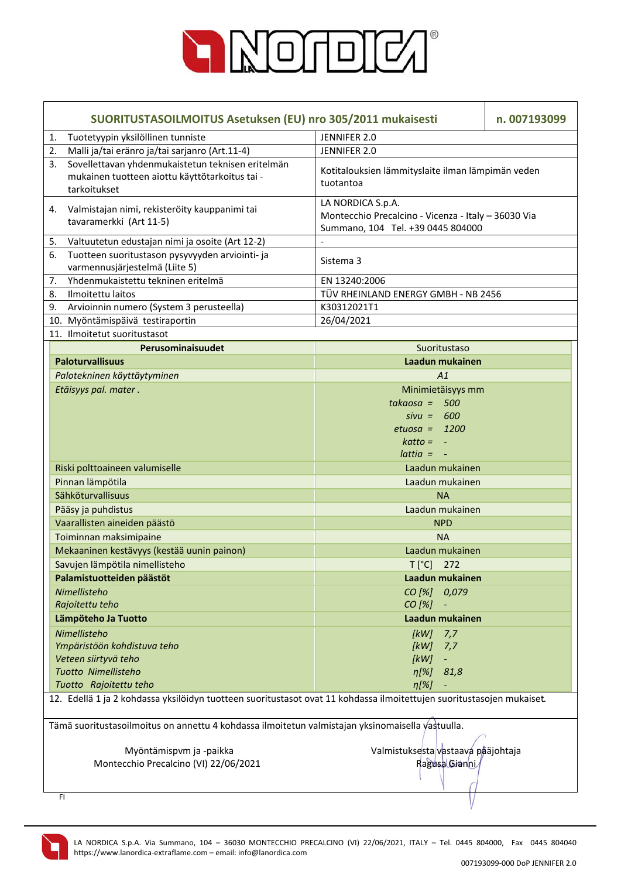

| SUORITUSTASOILMOITUS Asetuksen (EU) nro 305/2011 mukaisesti                                                               |                                                                                                               | n. 007193099 |  |
|---------------------------------------------------------------------------------------------------------------------------|---------------------------------------------------------------------------------------------------------------|--------------|--|
| Tuotetyypin yksilöllinen tunniste<br>1.                                                                                   | JENNIFER 2.0                                                                                                  |              |  |
| Malli ja/tai eränro ja/tai sarjanro (Art.11-4)<br>2.                                                                      | JENNIFER 2.0                                                                                                  |              |  |
| Sovellettavan yhdenmukaistetun teknisen eritelmän<br>3.<br>mukainen tuotteen aiottu käyttötarkoitus tai -<br>tarkoitukset | Kotitalouksien lämmityslaite ilman lämpimän veden<br>tuotantoa                                                |              |  |
| Valmistajan nimi, rekisteröity kauppanimi tai<br>4.<br>tavaramerkki (Art 11-5)                                            | LA NORDICA S.p.A.<br>Montecchio Precalcino - Vicenza - Italy - 36030 Via<br>Summano, 104 Tel. +39 0445 804000 |              |  |
| Valtuutetun edustajan nimi ja osoite (Art 12-2)<br>5.                                                                     |                                                                                                               |              |  |
| 6.<br>Tuotteen suoritustason pysyvyyden arviointi- ja<br>varmennusjärjestelmä (Liite 5)                                   | Sistema 3                                                                                                     |              |  |
| Yhdenmukaistettu tekninen eritelmä<br>7.                                                                                  | EN 13240:2006                                                                                                 |              |  |
| Ilmoitettu laitos<br>8.                                                                                                   | TÜV RHEINLAND ENERGY GMBH - NB 2456                                                                           |              |  |
| Arvioinnin numero (System 3 perusteella)<br>9.                                                                            | K30312021T1                                                                                                   |              |  |
| 10. Myöntämispäivä testiraportin                                                                                          | 26/04/2021                                                                                                    |              |  |
| 11. Ilmoitetut suoritustasot                                                                                              |                                                                                                               |              |  |
| Perusominaisuudet                                                                                                         | Suoritustaso                                                                                                  |              |  |
| <b>Paloturvallisuus</b>                                                                                                   | Laadun mukainen                                                                                               |              |  |
| Palotekninen käyttäytyminen                                                                                               | A1                                                                                                            |              |  |
| Etäisyys pal. mater.                                                                                                      | Minimietäisyys mm                                                                                             |              |  |
|                                                                                                                           | $takaosa = 500$                                                                                               |              |  |
|                                                                                                                           | $sivu = 600$                                                                                                  |              |  |
|                                                                                                                           | $etuosa = 1200$                                                                                               |              |  |
|                                                                                                                           | $katto = -$                                                                                                   |              |  |
|                                                                                                                           | $lattice = -$                                                                                                 |              |  |
| Riski polttoaineen valumiselle                                                                                            | Laadun mukainen                                                                                               |              |  |
| Pinnan lämpötila                                                                                                          | Laadun mukainen                                                                                               |              |  |
| Sähköturvallisuus                                                                                                         | <b>NA</b>                                                                                                     |              |  |
| Pääsy ja puhdistus                                                                                                        | Laadun mukainen                                                                                               |              |  |
| Vaarallisten aineiden päästö                                                                                              | <b>NPD</b>                                                                                                    |              |  |
| Toiminnan maksimipaine                                                                                                    | <b>NA</b>                                                                                                     |              |  |
| Mekaaninen kestävyys (kestää uunin painon)                                                                                | Laadun mukainen                                                                                               |              |  |
| Savujen lämpötila nimellisteho                                                                                            | T [°C] 272                                                                                                    |              |  |
| Palamistuotteiden päästöt                                                                                                 | Laadun mukainen                                                                                               |              |  |
| Nimellisteho                                                                                                              | CO [%] 0,079                                                                                                  |              |  |
| Rajoitettu teho                                                                                                           | CO [%]                                                                                                        |              |  |
| Lämpöteho Ja Tuotto                                                                                                       | Laadun mukainen                                                                                               |              |  |
| Nimellisteho                                                                                                              | [kW]<br>7,7                                                                                                   |              |  |
| Ympäristöön kohdistuva teho                                                                                               | [kW]<br>7,7                                                                                                   |              |  |
| Veteen siirtyvä teho                                                                                                      | [kW]<br>$\pm$                                                                                                 |              |  |
| Tuotto Nimellisteho                                                                                                       | $\eta$ [%] 81,8                                                                                               |              |  |
| Tuotto Rajoitettu teho                                                                                                    | $\eta[\%]$                                                                                                    |              |  |
| 12. Edellä 1 ja 2 kohdassa yksilöidyn tuotteen suoritustasot ovat 11 kohdassa ilmoitettujen suoritustasojen mukaiset.     |                                                                                                               |              |  |
| Tämä suoritustasoilmoitus on annettu 4 kohdassa ilmoitetun valmistajan yksinomaisella vastuulla.                          |                                                                                                               |              |  |
| Myöntämispvm ja -paikka                                                                                                   | Valmistuksesta vastaava pääjohtaja                                                                            |              |  |
| Montecchio Precalcino (VI) 22/06/2021                                                                                     | Ragusa Gianni                                                                                                 |              |  |
|                                                                                                                           |                                                                                                               |              |  |
|                                                                                                                           |                                                                                                               |              |  |
| FI.                                                                                                                       |                                                                                                               |              |  |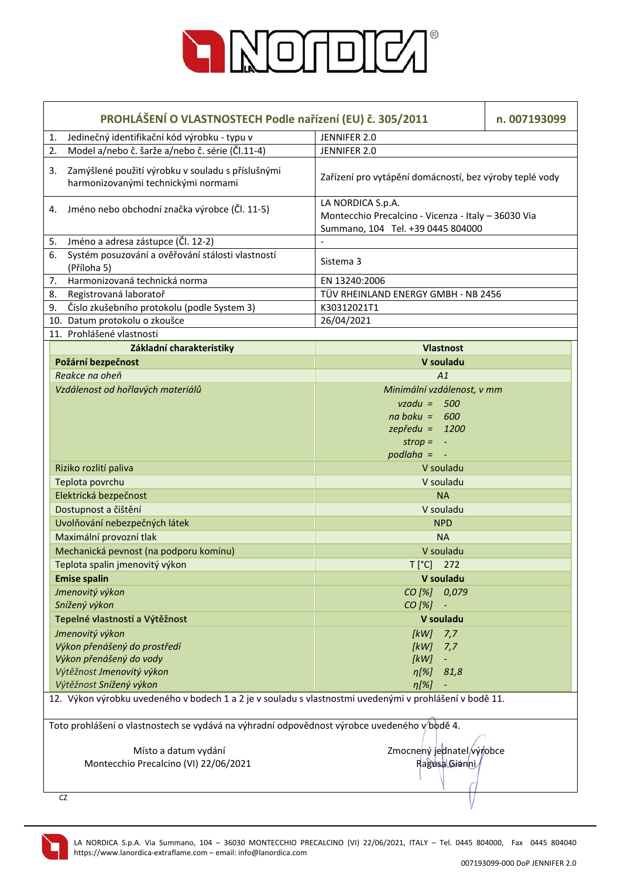

|    | PROHLÁŠENÍ O VLASTNOSTECH Podle nařízení (EU) č. 305/2011<br>n. 007193099                               |                                                                                                               |  |
|----|---------------------------------------------------------------------------------------------------------|---------------------------------------------------------------------------------------------------------------|--|
| 1. | Jedinečný identifikační kód výrobku - typu v                                                            | JENNIFER 2.0                                                                                                  |  |
| 2. | Model a/nebo č. šarže a/nebo č. série (Čl.11-4)                                                         | JENNIFER 2.0                                                                                                  |  |
| 3. | Zamýšlené použití výrobku v souladu s příslušnými<br>harmonizovanými technickými normami                | Zařízení pro vytápění domácností, bez výroby teplé vody                                                       |  |
|    | 4. Jméno nebo obchodní značka výrobce (Čl. 11-5)                                                        | LA NORDICA S.p.A.<br>Montecchio Precalcino - Vicenza - Italy - 36030 Via<br>Summano, 104 Tel. +39 0445 804000 |  |
| 5. | Jméno a adresa zástupce (Čl. 12-2)                                                                      |                                                                                                               |  |
| 6. | Systém posuzování a ověřování stálosti vlastností<br>(Příloha 5)                                        | Sistema 3                                                                                                     |  |
| 7. | Harmonizovaná technická norma                                                                           | EN 13240:2006                                                                                                 |  |
| 8. | Registrovaná laboratoř                                                                                  | TÜV RHEINLAND ENERGY GMBH - NB 2456                                                                           |  |
| 9. | Číslo zkušebního protokolu (podle System 3)                                                             | K30312021T1                                                                                                   |  |
|    | 10. Datum protokolu o zkoušce                                                                           | 26/04/2021                                                                                                    |  |
|    | 11. Prohlášené vlastnosti                                                                               |                                                                                                               |  |
|    | Základní charakteristiky                                                                                | <b>Vlastnost</b>                                                                                              |  |
|    | Požární bezpečnost                                                                                      | V souladu                                                                                                     |  |
|    | Reakce na oheň                                                                                          | A1                                                                                                            |  |
|    | Vzdálenost od hořlavých materiálů                                                                       | Minimální vzdálenost, v mm                                                                                    |  |
|    |                                                                                                         | $vzadu = 500$                                                                                                 |  |
|    |                                                                                                         | $na boku = 600$                                                                                               |  |
|    |                                                                                                         | $zepředu = 1200$                                                                                              |  |
|    |                                                                                                         | $strop = -$                                                                                                   |  |
|    |                                                                                                         | $p$ odlaha = $-$                                                                                              |  |
|    | Riziko rozlití paliva                                                                                   | V souladu                                                                                                     |  |
|    | Teplota povrchu                                                                                         | V souladu                                                                                                     |  |
|    | Elektrická bezpečnost                                                                                   | <b>NA</b>                                                                                                     |  |
|    | Dostupnost a čištění                                                                                    | V souladu                                                                                                     |  |
|    | Uvolňování nebezpečných látek                                                                           | <b>NPD</b>                                                                                                    |  |
|    | Maximální provozní tlak                                                                                 | <b>NA</b>                                                                                                     |  |
|    | Mechanická pevnost (na podporu komínu)                                                                  | V souladu                                                                                                     |  |
|    | Teplota spalin jmenovitý výkon                                                                          | T [°C] 272                                                                                                    |  |
|    | <b>Emise spalin</b>                                                                                     | V souladu                                                                                                     |  |
|    | Jmenovitý výkon                                                                                         | CO [%] 0,079                                                                                                  |  |
|    | Snížený výkon                                                                                           | CO [%]                                                                                                        |  |
|    | Tepelné vlastnosti a Výtěžnost                                                                          | V souladu                                                                                                     |  |
|    | Jmenovitý výkon                                                                                         | [kW]<br>7,7                                                                                                   |  |
|    | Výkon přenášený do prostředí                                                                            | [kW]<br>7,7                                                                                                   |  |
|    | Výkon přenášený do vody                                                                                 | [kW]<br>$\blacksquare$                                                                                        |  |
|    | Výtěžnost Jmenovitý výkon                                                                               | $\eta[\%]$<br>81,8                                                                                            |  |
|    | Výtěžnost Snížený výkon                                                                                 | $\eta[\%]$                                                                                                    |  |
|    | 12. Výkon výrobku uvedeného v bodech 1 a 2 je v souladu s vlastnostmi uvedenými v prohlášení v bodě 11. |                                                                                                               |  |
|    | Toto prohlášení o vlastnostech se vydává na výhradní odpovědnost výrobce uvedeného v bodě 4.            |                                                                                                               |  |
|    | Místo a datum vydání                                                                                    | Zmocnený jednatel výrobce                                                                                     |  |
|    | Montecchio Precalcino (VI) 22/06/2021                                                                   | Ragusa Gianni                                                                                                 |  |
|    |                                                                                                         |                                                                                                               |  |
|    |                                                                                                         |                                                                                                               |  |
|    | CZ                                                                                                      |                                                                                                               |  |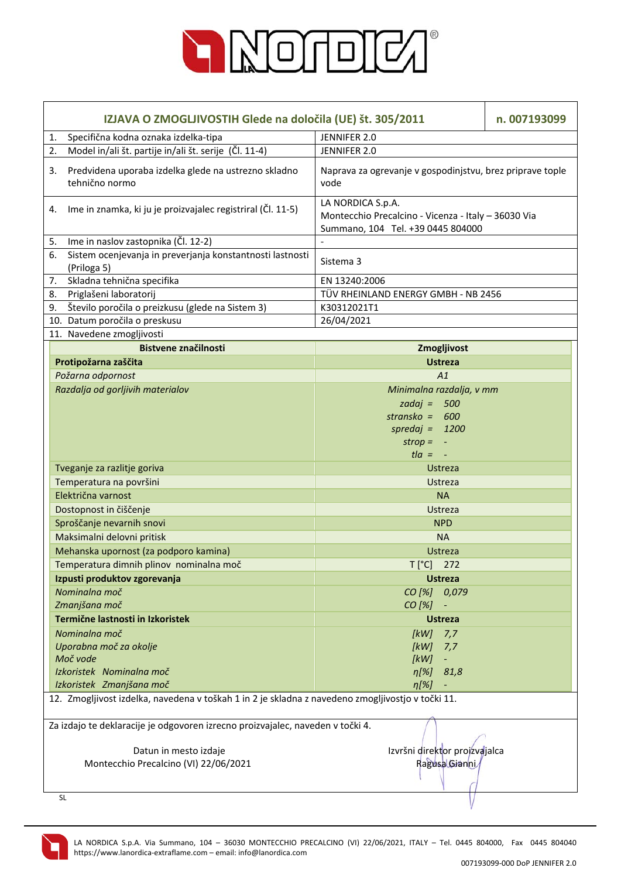

|    | IZJAVA O ZMOGLJIVOSTIH Glede na določila (UE) št. 305/2011<br>n. 007193099                        |                                                                                                               |  |
|----|---------------------------------------------------------------------------------------------------|---------------------------------------------------------------------------------------------------------------|--|
| 1. | Specifična kodna oznaka izdelka-tipa                                                              | JENNIFER 2.0                                                                                                  |  |
| 2. | Model in/ali št. partije in/ali št. serije (Čl. 11-4)                                             | JENNIFER 2.0                                                                                                  |  |
| 3. | Predvidena uporaba izdelka glede na ustrezno skladno<br>tehnično normo                            | Naprava za ogrevanje v gospodinjstvu, brez priprave tople<br>vode                                             |  |
|    | 4. Ime in znamka, ki ju je proizvajalec registriral (Čl. 11-5)                                    | LA NORDICA S.p.A.<br>Montecchio Precalcino - Vicenza - Italy - 36030 Via<br>Summano, 104 Tel. +39 0445 804000 |  |
| 5. | Ime in naslov zastopnika (Čl. 12-2)                                                               |                                                                                                               |  |
| 6. | Sistem ocenjevanja in preverjanja konstantnosti lastnosti<br>(Priloga 5)                          | Sistema 3                                                                                                     |  |
| 7. | Skladna tehnična specifika                                                                        | EN 13240:2006                                                                                                 |  |
| 8. | Priglašeni laboratorij                                                                            | TÜV RHEINLAND ENERGY GMBH - NB 2456                                                                           |  |
| 9. | Število poročila o preizkusu (glede na Sistem 3)                                                  | K30312021T1                                                                                                   |  |
|    | 10. Datum poročila o preskusu                                                                     | 26/04/2021                                                                                                    |  |
|    | 11. Navedene zmogljivosti                                                                         |                                                                                                               |  |
|    | <b>Bistvene značilnosti</b>                                                                       | Zmogljivost                                                                                                   |  |
|    | Protipožarna zaščita                                                                              | <b>Ustreza</b>                                                                                                |  |
|    | Požarna odpornost                                                                                 | A1                                                                                                            |  |
|    | Razdalja od gorljivih materialov                                                                  | Minimalna razdalja, v mm                                                                                      |  |
|    |                                                                                                   | zadaj = $500$                                                                                                 |  |
|    |                                                                                                   | stransko = $600$                                                                                              |  |
|    |                                                                                                   | spredaj = $1200$                                                                                              |  |
|    |                                                                                                   | $strop = -$                                                                                                   |  |
|    |                                                                                                   | $t/a = -$                                                                                                     |  |
|    | Tveganje za razlitje goriva                                                                       | Ustreza                                                                                                       |  |
|    | Temperatura na površini                                                                           | Ustreza                                                                                                       |  |
|    | Električna varnost                                                                                | <b>NA</b>                                                                                                     |  |
|    | Dostopnost in čiščenje                                                                            | Ustreza                                                                                                       |  |
|    | Sproščanje nevarnih snovi                                                                         | <b>NPD</b>                                                                                                    |  |
|    | Maksimalni delovni pritisk                                                                        | <b>NA</b>                                                                                                     |  |
|    | Mehanska upornost (za podporo kamina)                                                             | <b>Ustreza</b>                                                                                                |  |
|    | Temperatura dimnih plinov nominalna moč                                                           | $T[^{\circ}C]$ 272                                                                                            |  |
|    | Izpusti produktov zgorevanja                                                                      | <b>Ustreza</b>                                                                                                |  |
|    | Nominalna moč                                                                                     | CO [%]<br>0,079                                                                                               |  |
|    | Zmanjšana moč                                                                                     | CO [%]                                                                                                        |  |
|    | Termične lastnosti in Izkoristek                                                                  | <b>Ustreza</b>                                                                                                |  |
|    | Nominalna moč                                                                                     | [kW]<br>7,7                                                                                                   |  |
|    | Uporabna moč za okolje                                                                            | [kW]<br>7,7                                                                                                   |  |
|    | Moč vode                                                                                          | [kW]<br>$\equiv$                                                                                              |  |
|    | Izkoristek Nominalna moč                                                                          | $\eta[\%]$<br>81,8                                                                                            |  |
|    | Izkoristek Zmanjšana moč                                                                          | $\eta$ [%]<br>$\blacksquare$                                                                                  |  |
|    | 12. Zmogljivost izdelka, navedena v toškah 1 in 2 je skladna z navedeno zmogljivostjo v točki 11. |                                                                                                               |  |
|    | Za izdajo te deklaracije je odgovoren izrecno proizvajalec, naveden v točki 4.                    |                                                                                                               |  |
|    | Datun in mesto izdaje                                                                             | Izvršni direktor proizvajalca                                                                                 |  |
|    | Montecchio Precalcino (VI) 22/06/2021                                                             | Ragusa Gianni                                                                                                 |  |
|    |                                                                                                   |                                                                                                               |  |
|    | <b>SL</b>                                                                                         |                                                                                                               |  |
|    |                                                                                                   |                                                                                                               |  |

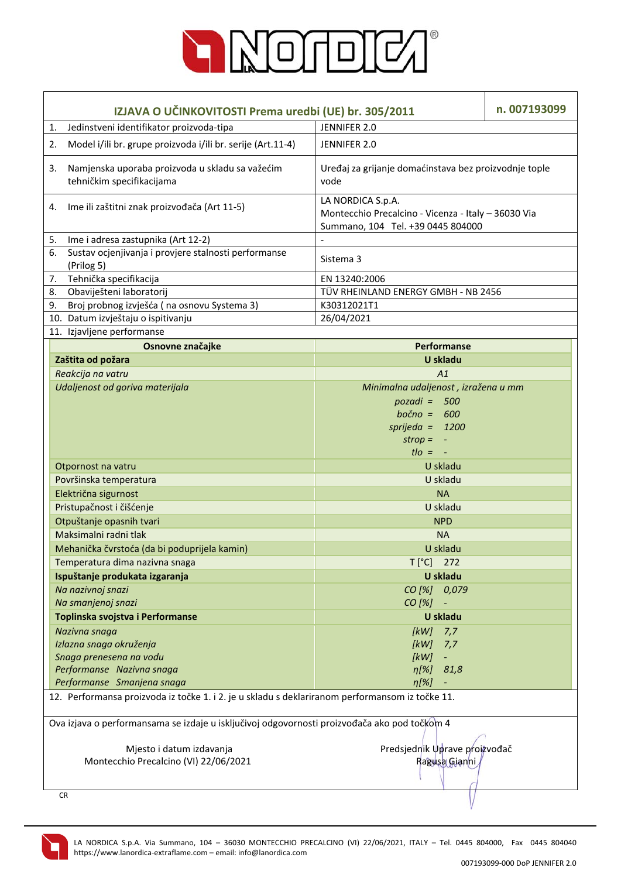

|                                                                                                 | IZJAVA O UČINKOVITOSTI Prema uredbi (UE) br. 305/2011                        |                                                                                                               |  |  |  |
|-------------------------------------------------------------------------------------------------|------------------------------------------------------------------------------|---------------------------------------------------------------------------------------------------------------|--|--|--|
| 1.                                                                                              | Jedinstveni identifikator proizvoda-tipa                                     | JENNIFER 2.0                                                                                                  |  |  |  |
| 2.                                                                                              | Model i/ili br. grupe proizvoda i/ili br. serije (Art.11-4)                  | JENNIFER 2.0                                                                                                  |  |  |  |
| 3.                                                                                              | Namjenska uporaba proizvoda u skladu sa važećim<br>tehničkim specifikacijama | Uređaj za grijanje domaćinstava bez proizvodnje tople<br>vode                                                 |  |  |  |
| 4.                                                                                              | Ime ili zaštitni znak proizvođača (Art 11-5)                                 | LA NORDICA S.p.A.<br>Montecchio Precalcino - Vicenza - Italy - 36030 Via<br>Summano, 104 Tel. +39 0445 804000 |  |  |  |
| 5.                                                                                              | Ime i adresa zastupnika (Art 12-2)                                           |                                                                                                               |  |  |  |
| 6.                                                                                              | Sustav ocjenjivanja i provjere stalnosti performanse<br>(Prilog 5)           | Sistema 3                                                                                                     |  |  |  |
| 7.                                                                                              | Tehnička specifikacija                                                       | EN 13240:2006                                                                                                 |  |  |  |
| 8.                                                                                              | Obaviješteni laboratorij                                                     | TÜV RHEINLAND ENERGY GMBH - NB 2456                                                                           |  |  |  |
| 9.                                                                                              | Broj probnog izvješća (na osnovu Systema 3)                                  | K30312021T1                                                                                                   |  |  |  |
|                                                                                                 | 10. Datum izvještaju o ispitivanju                                           | 26/04/2021                                                                                                    |  |  |  |
|                                                                                                 | 11. Izjavljene performanse                                                   |                                                                                                               |  |  |  |
|                                                                                                 | Osnovne značajke                                                             | Performanse                                                                                                   |  |  |  |
|                                                                                                 | Zaštita od požara                                                            | <b>U</b> skladu                                                                                               |  |  |  |
|                                                                                                 | Reakcija na vatru                                                            | A1                                                                                                            |  |  |  |
|                                                                                                 | Udaljenost od goriva materijala                                              | Minimalna udaljenost, izražena u mm                                                                           |  |  |  |
|                                                                                                 |                                                                              | $pozadi = 500$                                                                                                |  |  |  |
|                                                                                                 |                                                                              | $bočno = 600$                                                                                                 |  |  |  |
|                                                                                                 |                                                                              | sprijeda = $1200$                                                                                             |  |  |  |
|                                                                                                 |                                                                              | $strop = -$                                                                                                   |  |  |  |
|                                                                                                 |                                                                              | $t$ lo = $-$                                                                                                  |  |  |  |
|                                                                                                 | Otpornost na vatru                                                           | U skladu                                                                                                      |  |  |  |
|                                                                                                 | Površinska temperatura                                                       | U skladu                                                                                                      |  |  |  |
|                                                                                                 | Električna sigurnost                                                         | <b>NA</b>                                                                                                     |  |  |  |
|                                                                                                 | Pristupačnost i čišćenje                                                     | U skladu                                                                                                      |  |  |  |
|                                                                                                 | Otpuštanje opasnih tvari                                                     | <b>NPD</b>                                                                                                    |  |  |  |
|                                                                                                 | Maksimalni radni tlak                                                        | <b>NA</b>                                                                                                     |  |  |  |
|                                                                                                 | Mehanička čvrstoća (da bi poduprijela kamin)                                 | U skladu                                                                                                      |  |  |  |
|                                                                                                 | Temperatura dima nazivna snaga                                               | $T[^{\circ}C]$ 272                                                                                            |  |  |  |
|                                                                                                 | Ispuštanje produkata izgaranja                                               | U skladu                                                                                                      |  |  |  |
|                                                                                                 | Na nazivnoj snazi                                                            | CO [%] 0,079                                                                                                  |  |  |  |
|                                                                                                 | Na smanjenoj snazi                                                           | CO [%]<br>$\overline{\phantom{a}}$                                                                            |  |  |  |
|                                                                                                 | Toplinska svojstva i Performanse                                             | U skladu                                                                                                      |  |  |  |
|                                                                                                 | Nazivna snaga                                                                | 7,7<br>[kW]                                                                                                   |  |  |  |
|                                                                                                 | Izlazna snaga okruženja<br>Snaga prenesena na vodu                           | [ $kW$ ]<br>7,7<br>[kW]                                                                                       |  |  |  |
|                                                                                                 | Performanse Nazivna snaga                                                    | ÷<br>$\eta[\%]$<br>81,8                                                                                       |  |  |  |
|                                                                                                 | Performanse Smanjena snaga                                                   | $\eta$ [%]<br>÷                                                                                               |  |  |  |
| 12. Performansa proizvoda iz točke 1. i 2. je u skladu s deklariranom performansom iz točke 11. |                                                                              |                                                                                                               |  |  |  |
| Ova izjava o performansama se izdaje u isključivoj odgovornosti proizvođača ako pod točkom 4    |                                                                              |                                                                                                               |  |  |  |
|                                                                                                 | Predsjednik Uprave proizvođač<br>Mjesto i datum izdavanja                    |                                                                                                               |  |  |  |
| Montecchio Precalcino (VI) 22/06/2021                                                           |                                                                              | Ragusa Gianni                                                                                                 |  |  |  |
|                                                                                                 |                                                                              |                                                                                                               |  |  |  |
|                                                                                                 | <b>CR</b>                                                                    |                                                                                                               |  |  |  |

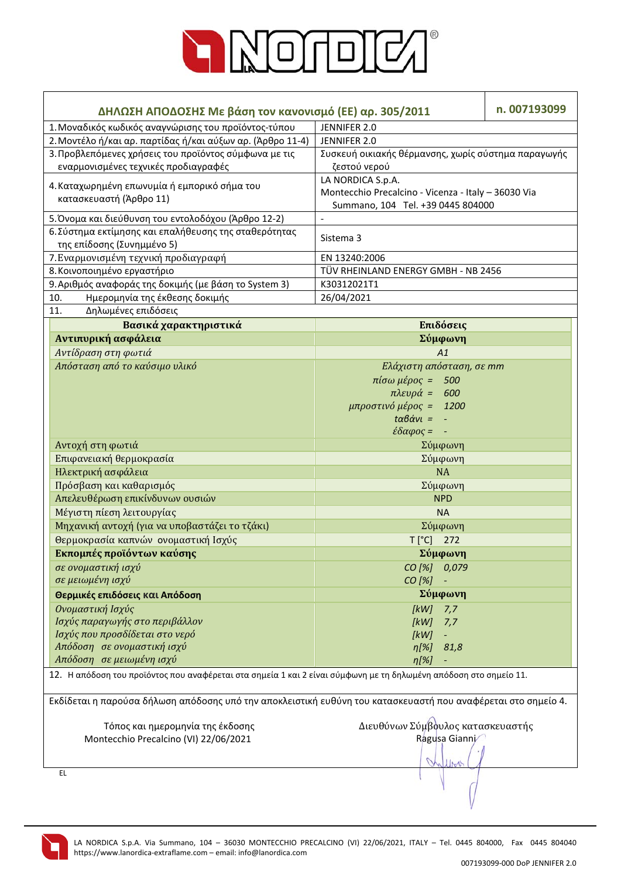

| ΔΗΛΩΣΗ ΑΠΟΔΟΣΗΣ Με βάση τον κανονισμό (ΕΕ) αρ. 305/2011                                                           | n. 007193099                                                   |  |  |  |  |
|-------------------------------------------------------------------------------------------------------------------|----------------------------------------------------------------|--|--|--|--|
| 1. Μοναδικός κωδικός αναγνώρισης του προϊόντος-τύπου                                                              | JENNIFER 2.0                                                   |  |  |  |  |
| 2. Μοντέλο ή/και αρ. παρτίδας ή/και αύξων αρ. (Άρθρο 11-4)                                                        | JENNIFER 2.0                                                   |  |  |  |  |
| 3. Προβλεπόμενες χρήσεις του προϊόντος σύμφωνα με τις                                                             | Συσκευή οικιακής θέρμανσης, χωρίς σύστημα παραγωγής            |  |  |  |  |
| εναρμονισμένες τεχνικές προδιαγραφές                                                                              | ζεστού νερού                                                   |  |  |  |  |
|                                                                                                                   | LA NORDICA S.p.A.                                              |  |  |  |  |
| 4. Καταχωρημένη επωνυμία ή εμπορικό σήμα του<br>κατασκευαστή (Άρθρο 11)                                           | Montecchio Precalcino - Vicenza - Italy - 36030 Via            |  |  |  |  |
|                                                                                                                   | Summano, 104 Tel. +39 0445 804000                              |  |  |  |  |
| 5. Όνομα και διεύθυνση του εντολοδόχου (Άρθρο 12-2)                                                               | $\Box$                                                         |  |  |  |  |
| 6. Σύστημα εκτίμησης και επαλήθευσης της σταθερότητας<br>της επίδοσης (Συνημμένο 5)                               | Sistema 3                                                      |  |  |  |  |
| 7. Εναρμονισμένη τεχνική προδιαγραφή                                                                              | EN 13240:2006                                                  |  |  |  |  |
| 8. Κοινοποιημένο εργαστήριο                                                                                       | TÜV RHEINLAND ENERGY GMBH - NB 2456                            |  |  |  |  |
| 9. Αριθμός αναφοράς της δοκιμής (με βάση το System 3)                                                             | K30312021T1                                                    |  |  |  |  |
| Ημερομηνία της έκθεσης δοκιμής<br>10.                                                                             | 26/04/2021                                                     |  |  |  |  |
| Δηλωμένες επιδόσεις<br>11.                                                                                        |                                                                |  |  |  |  |
| Βασικά χαρακτηριστικά                                                                                             | Επιδόσεις                                                      |  |  |  |  |
| Αντιπυρική ασφάλεια                                                                                               | Σύμφωνη                                                        |  |  |  |  |
| Αντίδραση στη φωτιά                                                                                               | A1                                                             |  |  |  |  |
| Απόσταση από το καύσιμο υλικό                                                                                     | Ελάχιστη απόσταση, σε mm                                       |  |  |  |  |
|                                                                                                                   | πίσω μέρος =<br>500                                            |  |  |  |  |
|                                                                                                                   | $πλευρά =$<br>600                                              |  |  |  |  |
|                                                                                                                   | μπροστινό μέρος =<br>1200                                      |  |  |  |  |
|                                                                                                                   | $t\alpha\beta\dot{\alpha}v\iota =$<br>$\overline{\phantom{a}}$ |  |  |  |  |
|                                                                                                                   | $\epsilon \delta \alpha \varphi$ oς = -                        |  |  |  |  |
| Αντοχή στη φωτιά                                                                                                  | Σύμφωνη                                                        |  |  |  |  |
| Επιφανειακή θερμοκρασία                                                                                           | Σύμφωνη                                                        |  |  |  |  |
| Ηλεκτρική ασφάλεια                                                                                                | <b>NA</b>                                                      |  |  |  |  |
| Πρόσβαση και καθαρισμός                                                                                           | Σύμφωνη                                                        |  |  |  |  |
| Απελευθέρωση επικίνδυνων ουσιών                                                                                   | <b>NPD</b>                                                     |  |  |  |  |
| Μέγιστη πίεση λειτουργίας                                                                                         | <b>NA</b>                                                      |  |  |  |  |
| Μηχανική αντοχή (για να υποβαστάζει το τζάκι)                                                                     | Σύμφωνη                                                        |  |  |  |  |
| Θερμοκρασία καπνών ονομαστική Ισχύς                                                                               | $T[^{\circ}C]$<br>272                                          |  |  |  |  |
| Εκπομπές προϊόντων καύσης                                                                                         | Σύμφωνη                                                        |  |  |  |  |
| σε ονομαστική ισχύ                                                                                                | CO [%] 0,079                                                   |  |  |  |  |
| σε μειωμένη ισχύ                                                                                                  | CO [%]                                                         |  |  |  |  |
| Θερμικές επιδόσεις και Απόδοση                                                                                    | Σύμφωνη                                                        |  |  |  |  |
| Ονομαστική Ισχύς                                                                                                  | [kW]<br>7,7                                                    |  |  |  |  |
| Ισχύς παραγωγής στο περιβάλλον                                                                                    | [kW]<br>7,7                                                    |  |  |  |  |
| Ισχύς που προσδίδεται στο νερό                                                                                    | [kW]                                                           |  |  |  |  |
| Απόδοση σε ονομαστική ισχύ                                                                                        | $\eta[\%]$<br>81,8                                             |  |  |  |  |
| Απόδοση σε μειωμένη ισχύ                                                                                          | $\eta$ [%]                                                     |  |  |  |  |
| 12. Η απόδοση του προϊόντος που αναφέρεται στα σημεία 1 και 2 είναι σύμφωνη με τη δηλωμένη απόδοση στο σημείο 11. |                                                                |  |  |  |  |
| Εκδίδεται η παρούσα δήλωση απόδοσης υπό την αποκλειστική ευθύνη του κατασκευαστή που αναφέρεται στο σημείο 4.     |                                                                |  |  |  |  |
| Τόπος και ημερομηνία της έκδοσης                                                                                  | Διευθύνων Σύμβουλος κατασκευαστής                              |  |  |  |  |
| Montecchio Precalcino (VI) 22/06/2021                                                                             | Ragusa Gianni                                                  |  |  |  |  |
|                                                                                                                   |                                                                |  |  |  |  |
| EL.                                                                                                               |                                                                |  |  |  |  |
|                                                                                                                   |                                                                |  |  |  |  |

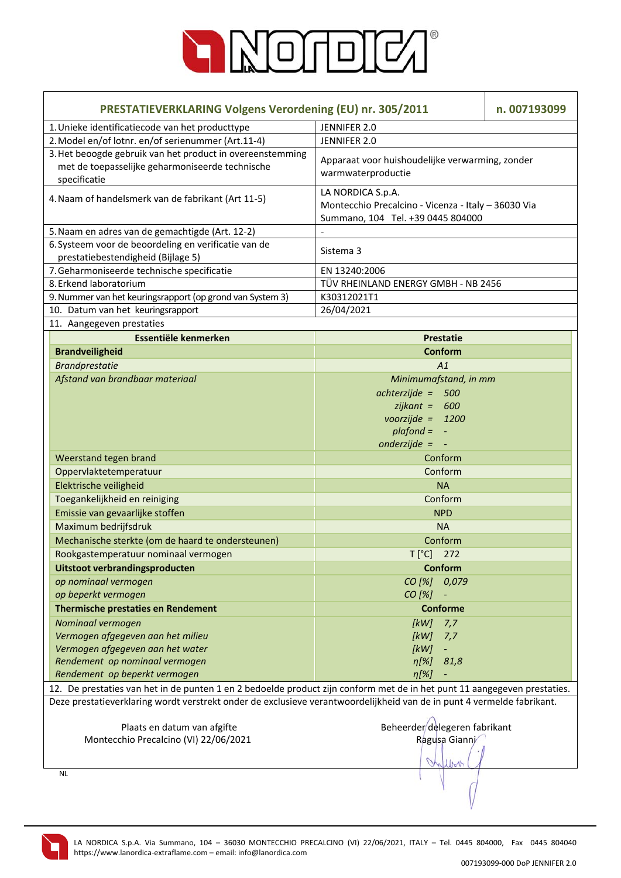

| <b>PRESTATIEVERKLARING Volgens Verordening (EU) nr. 305/2011</b>                                                                                                                                                                                   | n. 007193099                                                                                                  |  |  |  |
|----------------------------------------------------------------------------------------------------------------------------------------------------------------------------------------------------------------------------------------------------|---------------------------------------------------------------------------------------------------------------|--|--|--|
| 1. Unieke identificatiecode van het producttype                                                                                                                                                                                                    | JENNIFER 2.0                                                                                                  |  |  |  |
| 2. Model en/of lotnr. en/of serienummer (Art.11-4)                                                                                                                                                                                                 | JENNIFER 2.0                                                                                                  |  |  |  |
| 3. Het beoogde gebruik van het product in overeenstemming<br>met de toepasselijke geharmoniseerde technische<br>specificatie                                                                                                                       | Apparaat voor huishoudelijke verwarming, zonder<br>warmwaterproductie                                         |  |  |  |
| 4. Naam of handelsmerk van de fabrikant (Art 11-5)                                                                                                                                                                                                 | LA NORDICA S.p.A.<br>Montecchio Precalcino - Vicenza - Italy - 36030 Via<br>Summano, 104 Tel. +39 0445 804000 |  |  |  |
| 5. Naam en adres van de gemachtigde (Art. 12-2)                                                                                                                                                                                                    |                                                                                                               |  |  |  |
| 6. Systeem voor de beoordeling en verificatie van de                                                                                                                                                                                               | Sistema 3                                                                                                     |  |  |  |
| prestatiebestendigheid (Bijlage 5)                                                                                                                                                                                                                 |                                                                                                               |  |  |  |
| 7. Geharmoniseerde technische specificatie                                                                                                                                                                                                         | EN 13240:2006                                                                                                 |  |  |  |
| 8. Erkend laboratorium                                                                                                                                                                                                                             | TÜV RHEINLAND ENERGY GMBH - NB 2456                                                                           |  |  |  |
| 9. Nummer van het keuringsrapport (op grond van System 3)                                                                                                                                                                                          | K30312021T1                                                                                                   |  |  |  |
| 10. Datum van het keuringsrapport                                                                                                                                                                                                                  | 26/04/2021                                                                                                    |  |  |  |
| 11. Aangegeven prestaties                                                                                                                                                                                                                          |                                                                                                               |  |  |  |
| Essentiële kenmerken                                                                                                                                                                                                                               | <b>Prestatie</b>                                                                                              |  |  |  |
| <b>Brandveiligheid</b>                                                                                                                                                                                                                             | <b>Conform</b>                                                                                                |  |  |  |
| <b>Brandprestatie</b>                                                                                                                                                                                                                              | A1                                                                                                            |  |  |  |
| Afstand van brandbaar materiaal                                                                                                                                                                                                                    | Minimumafstand, in mm                                                                                         |  |  |  |
|                                                                                                                                                                                                                                                    | $achterzijde = 500$                                                                                           |  |  |  |
|                                                                                                                                                                                                                                                    | $zijkant = 600$                                                                                               |  |  |  |
|                                                                                                                                                                                                                                                    | voorzijde = $1200$                                                                                            |  |  |  |
|                                                                                                                                                                                                                                                    | $plafond =$<br>$\blacksquare$                                                                                 |  |  |  |
|                                                                                                                                                                                                                                                    | onderzijde = $-$                                                                                              |  |  |  |
| Weerstand tegen brand                                                                                                                                                                                                                              | Conform                                                                                                       |  |  |  |
| Oppervlaktetemperatuur                                                                                                                                                                                                                             | Conform                                                                                                       |  |  |  |
| Elektrische veiligheid                                                                                                                                                                                                                             | <b>NA</b>                                                                                                     |  |  |  |
| Toegankelijkheid en reiniging                                                                                                                                                                                                                      | Conform                                                                                                       |  |  |  |
| Emissie van gevaarlijke stoffen                                                                                                                                                                                                                    | <b>NPD</b>                                                                                                    |  |  |  |
| Maximum bedrijfsdruk                                                                                                                                                                                                                               | <b>NA</b>                                                                                                     |  |  |  |
| Mechanische sterkte (om de haard te ondersteunen)                                                                                                                                                                                                  | Conform                                                                                                       |  |  |  |
| Rookgastemperatuur nominaal vermogen                                                                                                                                                                                                               | $T[^{\circ}C]$<br>272                                                                                         |  |  |  |
| Uitstoot verbrandingsproducten                                                                                                                                                                                                                     | <b>Conform</b>                                                                                                |  |  |  |
| op nominaal vermogen                                                                                                                                                                                                                               | CO [%]<br>0,079                                                                                               |  |  |  |
| op beperkt vermogen                                                                                                                                                                                                                                | CO [%]                                                                                                        |  |  |  |
| <b>Thermische prestaties en Rendement</b>                                                                                                                                                                                                          | <b>Conforme</b>                                                                                               |  |  |  |
|                                                                                                                                                                                                                                                    |                                                                                                               |  |  |  |
| Nominaal vermogen                                                                                                                                                                                                                                  | [kW]<br>7,7                                                                                                   |  |  |  |
| Vermogen afgegeven aan het milieu                                                                                                                                                                                                                  | [kW]<br>7,7                                                                                                   |  |  |  |
| Vermogen afgegeven aan het water<br>Rendement op nominaal vermogen                                                                                                                                                                                 | [kW]<br>$\eta$ [%]<br>81,8                                                                                    |  |  |  |
| Rendement op beperkt vermogen                                                                                                                                                                                                                      | $\eta$ [%]                                                                                                    |  |  |  |
|                                                                                                                                                                                                                                                    |                                                                                                               |  |  |  |
| 12. De prestaties van het in de punten 1 en 2 bedoelde product zijn conform met de in het punt 11 aangegeven prestaties.<br>Deze prestatieverklaring wordt verstrekt onder de exclusieve verantwoordelijkheid van de in punt 4 vermelde fabrikant. |                                                                                                               |  |  |  |
| Beheerder delegeren fabrikant<br>Plaats en datum van afgifte                                                                                                                                                                                       |                                                                                                               |  |  |  |
| Montecchio Precalcino (VI) 22/06/2021                                                                                                                                                                                                              | Ragusa Gianni                                                                                                 |  |  |  |
|                                                                                                                                                                                                                                                    |                                                                                                               |  |  |  |
|                                                                                                                                                                                                                                                    |                                                                                                               |  |  |  |

NL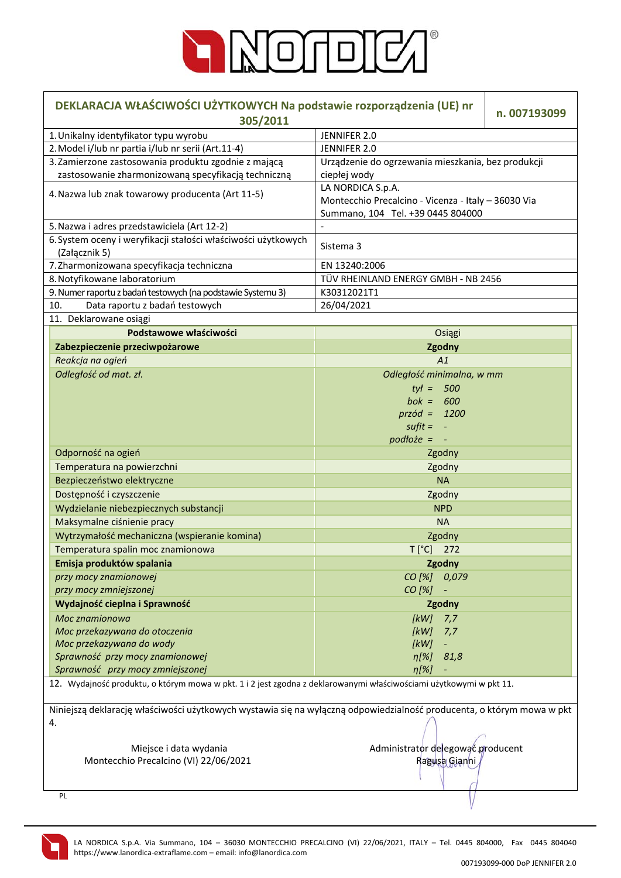

| DEKLARACJA WŁAŚCIWOŚCI UŻYTKOWYCH Na podstawie rozporządzenia (UE) nr<br>305/2011                                           | n. 007193099                                                                                                  |  |  |  |
|-----------------------------------------------------------------------------------------------------------------------------|---------------------------------------------------------------------------------------------------------------|--|--|--|
| 1. Unikalny identyfikator typu wyrobu                                                                                       | JENNIFER 2.0                                                                                                  |  |  |  |
| 2. Model i/lub nr partia i/lub nr serii (Art.11-4)                                                                          | JENNIFER 2.0                                                                                                  |  |  |  |
| 3. Zamierzone zastosowania produktu zgodnie z mającą                                                                        | Urządzenie do ogrzewania mieszkania, bez produkcji                                                            |  |  |  |
| zastosowanie zharmonizowaną specyfikacją techniczną                                                                         | ciepłej wody                                                                                                  |  |  |  |
| 4. Nazwa lub znak towarowy producenta (Art 11-5)                                                                            | LA NORDICA S.p.A.<br>Montecchio Precalcino - Vicenza - Italy - 36030 Via<br>Summano, 104 Tel. +39 0445 804000 |  |  |  |
| 5. Nazwa i adres przedstawiciela (Art 12-2)                                                                                 |                                                                                                               |  |  |  |
| 6. System oceny i weryfikacji stałości właściwości użytkowych                                                               |                                                                                                               |  |  |  |
| (Załącznik 5)                                                                                                               | Sistema 3                                                                                                     |  |  |  |
| 7. Zharmonizowana specyfikacja techniczna                                                                                   | EN 13240:2006                                                                                                 |  |  |  |
| 8. Notyfikowane laboratorium                                                                                                | TÜV RHEINLAND ENERGY GMBH - NB 2456                                                                           |  |  |  |
| 9. Numer raportu z badań testowych (na podstawie Systemu 3)                                                                 | K30312021T1                                                                                                   |  |  |  |
| 10.<br>Data raportu z badań testowych                                                                                       | 26/04/2021                                                                                                    |  |  |  |
| 11. Deklarowane osiągi                                                                                                      |                                                                                                               |  |  |  |
| Podstawowe właściwości                                                                                                      | Osiągi                                                                                                        |  |  |  |
| Zabezpieczenie przeciwpożarowe                                                                                              | Zgodny                                                                                                        |  |  |  |
| Reakcja na ogień                                                                                                            | A1                                                                                                            |  |  |  |
| Odległość od mat. zł.                                                                                                       | Odległość minimalna, w mm                                                                                     |  |  |  |
|                                                                                                                             | $tyt = 500$                                                                                                   |  |  |  |
|                                                                                                                             |                                                                                                               |  |  |  |
|                                                                                                                             | bok = $600$                                                                                                   |  |  |  |
|                                                                                                                             | $przód = 1200$                                                                                                |  |  |  |
|                                                                                                                             | $s$ ufit = $-$                                                                                                |  |  |  |
|                                                                                                                             | $podto\,i.e.$ = $-$                                                                                           |  |  |  |
| Odporność na ogień                                                                                                          | Zgodny                                                                                                        |  |  |  |
| Temperatura na powierzchni                                                                                                  | Zgodny                                                                                                        |  |  |  |
| Bezpieczeństwo elektryczne                                                                                                  | <b>NA</b>                                                                                                     |  |  |  |
| Dostępność i czyszczenie                                                                                                    | Zgodny                                                                                                        |  |  |  |
| Wydzielanie niebezpiecznych substancji                                                                                      | <b>NPD</b>                                                                                                    |  |  |  |
| Maksymalne ciśnienie pracy                                                                                                  | <b>NA</b>                                                                                                     |  |  |  |
| Wytrzymałość mechaniczna (wspieranie komina)                                                                                | Zgodny                                                                                                        |  |  |  |
| Temperatura spalin moc znamionowa                                                                                           | T [°C] 272                                                                                                    |  |  |  |
| Emisja produktów spalania                                                                                                   | Zgodny                                                                                                        |  |  |  |
| przy mocy znamionowej                                                                                                       | CO [%] 0,079                                                                                                  |  |  |  |
| przy mocy zmniejszonej                                                                                                      | CO [%]                                                                                                        |  |  |  |
| Wydajność cieplna i Sprawność                                                                                               | Zgodny                                                                                                        |  |  |  |
| Moc znamionowa                                                                                                              | [kW]<br>7,7                                                                                                   |  |  |  |
| Moc przekazywana do otoczenia                                                                                               | [kW]<br>7,7                                                                                                   |  |  |  |
| Moc przekazywana do wody                                                                                                    | [kW]                                                                                                          |  |  |  |
| Sprawność przy mocy znamionowej                                                                                             | $\eta[\%]$<br>81,8                                                                                            |  |  |  |
| Sprawność przy mocy zmniejszonej                                                                                            | $\eta$ [%]                                                                                                    |  |  |  |
| 12. Wydajność produktu, o którym mowa w pkt. 1 i 2 jest zgodna z deklarowanymi właściwościami użytkowymi w pkt 11.          |                                                                                                               |  |  |  |
|                                                                                                                             |                                                                                                               |  |  |  |
| Niniejszą deklarację właściwości użytkowych wystawia się na wyłączną odpowiedzialność producenta, o którym mowa w pkt<br>4. |                                                                                                               |  |  |  |
| Miejsce i data wydania                                                                                                      | Administrator delegować producent                                                                             |  |  |  |
| Montecchio Precalcino (VI) 22/06/2021                                                                                       | Ragusa Gianni                                                                                                 |  |  |  |
| PL                                                                                                                          |                                                                                                               |  |  |  |